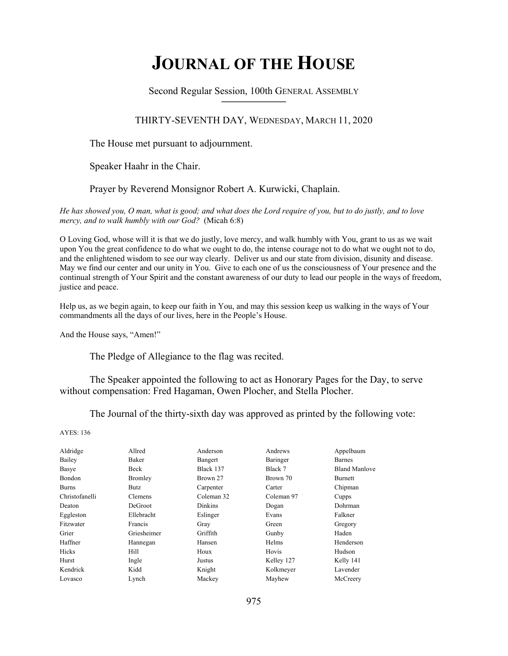# **JOURNAL OF THE HOUSE**

Second Regular Session, 100th GENERAL ASSEMBLY **\_\_\_\_\_\_\_\_\_\_\_\_\_\_\_\_\_\_\_\_\_\_\_\_\_\_**

# THIRTY-SEVENTH DAY, WEDNESDAY, MARCH 11, 2020

The House met pursuant to adjournment.

Speaker Haahr in the Chair.

Prayer by Reverend Monsignor Robert A. Kurwicki, Chaplain.

*He has showed you, O man, what is good; and what does the Lord require of you, but to do justly, and to love mercy, and to walk humbly with our God?* (Micah 6:8)

O Loving God, whose will it is that we do justly, love mercy, and walk humbly with You, grant to us as we wait upon You the great confidence to do what we ought to do, the intense courage not to do what we ought not to do, and the enlightened wisdom to see our way clearly. Deliver us and our state from division, disunity and disease. May we find our center and our unity in You. Give to each one of us the consciousness of Your presence and the continual strength of Your Spirit and the constant awareness of our duty to lead our people in the ways of freedom, justice and peace.

Help us, as we begin again, to keep our faith in You, and may this session keep us walking in the ways of Your commandments all the days of our lives, here in the People's House.

And the House says, "Amen!"

The Pledge of Allegiance to the flag was recited.

 The Speaker appointed the following to act as Honorary Pages for the Day, to serve without compensation: Fred Hagaman, Owen Plocher, and Stella Plocher.

The Journal of the thirty-sixth day was approved as printed by the following vote:

AYES: 136

| Aldridge       | Allred         | Anderson   | Andrews    | Appelbaum            |
|----------------|----------------|------------|------------|----------------------|
| Bailey         | Baker          | Bangert    | Baringer   | <b>Barnes</b>        |
| Basye          | Beck           | Black 137  | Black 7    | <b>Bland Manlove</b> |
| Bondon         | Bromley        | Brown 27   | Brown 70   | <b>Burnett</b>       |
| <b>Burns</b>   | Butz           | Carpenter  | Carter     | Chipman              |
| Christofanelli | <b>Clemens</b> | Coleman 32 | Coleman 97 | Cupps                |
| Deaton         | <b>DeGroot</b> | Dinkins    | Dogan      | Dohrman              |
| Eggleston      | Ellebracht     | Eslinger   | Evans      | Falkner              |
| Fitzwater      | Francis        | Gray       | Green      | Gregory              |
| Grier          | Griesheimer    | Griffith   | Gunby      | Haden                |
| Haffner        | Hannegan       | Hansen     | Helms      | Henderson            |
| Hicks          | Hill           | Houx       | Hovis      | Hudson               |
| Hurst          | Ingle          | Justus     | Kelley 127 | Kelly 141            |
| Kendrick       | Kidd           | Knight     | Kolkmeyer  | Lavender             |
| Lovasco        | Lynch          | Mackey     | Mayhew     | McCreery             |
|                |                |            |            |                      |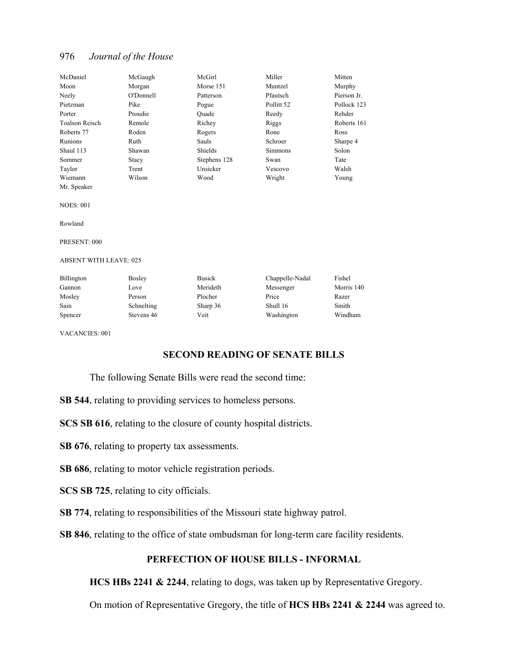| McDaniel       | McGaugh   | McGirl       | Miller     | Mitten      |
|----------------|-----------|--------------|------------|-------------|
| Moon           | Morgan    | Morse 151    | Muntzel    | Murphy      |
| Neely          | O'Donnell | Patterson    | Pfautsch   | Pierson Jr. |
| Pietzman       | Pike      | Pogue        | Pollitt 52 | Pollock 123 |
| Porter         | Proudie   | Quade        | Reedy      | Rehder      |
| Toalson Reisch | Remole    | Richey       | Riggs      | Roberts 161 |
| Roberts 77     | Roden     | Rogers       | Rone       | Ross        |
| Runions        | Ruth      | Sauls        | Schroer    | Sharpe 4    |
| Shaul 113      | Shawan    | Shields      | Simmons    | Solon       |
| Sommer         | Stacy     | Stephens 128 | Swan       | Tate        |
| Taylor         | Trent     | Unsicker     | Vescovo    | Walsh       |
| Wiemann        | Wilson    | Wood         | Wright     | Young       |

NOES: 001

Mr. Speaker

Rowland

PRESENT: 000

ABSENT WITH LEAVE: 025

| Billington | <b>Bosley</b> | <b>Busick</b> | Chappelle-Nadal | Fishel     |
|------------|---------------|---------------|-----------------|------------|
| Gannon     | Love          | Merideth      | Messenger       | Morris 140 |
| Mosley     | Person        | Plocher       | Price           | Razer      |
| Sain       | Schnelting    | Sharp 36      | Shull 16        | Smith      |
| Spencer    | Stevens 46    | Veit          | Washington      | Windham    |

VACANCIES: 001

# **SECOND READING OF SENATE BILLS**

The following Senate Bills were read the second time:

**SB 544**, relating to providing services to homeless persons.

**SCS SB 616**, relating to the closure of county hospital districts.

**SB 676**, relating to property tax assessments.

**SB 686**, relating to motor vehicle registration periods.

**SCS SB 725**, relating to city officials.

**SB 774**, relating to responsibilities of the Missouri state highway patrol.

**SB 846**, relating to the office of state ombudsman for long-term care facility residents.

# **PERFECTION OF HOUSE BILLS - INFORMAL**

**HCS HBs 2241 & 2244**, relating to dogs, was taken up by Representative Gregory.

On motion of Representative Gregory, the title of **HCS HBs 2241 & 2244** was agreed to.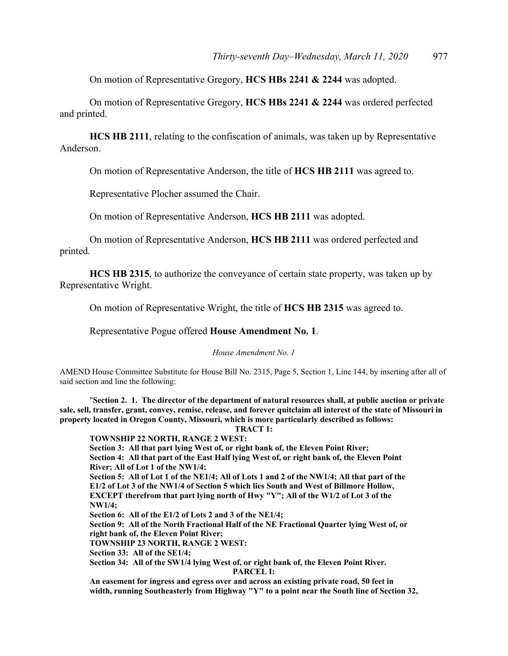On motion of Representative Gregory, **HCS HBs 2241 & 2244** was adopted.

 On motion of Representative Gregory, **HCS HBs 2241 & 2244** was ordered perfected and printed.

**HCS HB 2111**, relating to the confiscation of animals, was taken up by Representative Anderson.

On motion of Representative Anderson, the title of **HCS HB 2111** was agreed to.

Representative Plocher assumed the Chair.

On motion of Representative Anderson, **HCS HB 2111** was adopted.

 On motion of Representative Anderson, **HCS HB 2111** was ordered perfected and printed.

**HCS HB 2315**, to authorize the conveyance of certain state property, was taken up by Representative Wright.

On motion of Representative Wright, the title of **HCS HB 2315** was agreed to.

Representative Pogue offered **House Amendment No. 1**.

*House Amendment No. 1*

AMEND House Committee Substitute for House Bill No. 2315, Page 5, Section 1, Line 144, by inserting after all of said section and line the following:

 "**Section 2. 1. The director of the department of natural resources shall, at public auction or private sale, sell, transfer, grant, convey, remise, release, and forever quitclaim all interest of the state of Missouri in property located in Oregon County, Missouri, which is more particularly described as follows:** 

#### **TRACT 1:**

**TOWNSHIP 22 NORTH, RANGE 2 WEST:** 

**Section 3: All that part lying West of, or right bank of, the Eleven Point River; Section 4: All that part of the East Half lying West of, or right bank of, the Eleven Point River; All of Lot 1 of the NW1/4;** 

**Section 5: All of Lot 1 of the NE1/4; All of Lots 1 and 2 of the NW1/4; All that part of the E1/2 of Lot 3 of the NW1/4 of Section 5 which lies South and West of Billmore Hollow, EXCEPT therefrom that part lying north of Hwy "Y"; All of the W1/2 of Lot 3 of the NW1/4;** 

**Section 6: All of the E1/2 of Lots 2 and 3 of the NE1/4;** 

**Section 9: All of the North Fractional Half of the NE Fractional Quarter lying West of, or right bank of, the Eleven Point River;** 

**TOWNSHIP 23 NORTH, RANGE 2 WEST:** 

**Section 33: All of the SE1/4;** 

**Section 34: All of the SW1/4 lying West of, or right bank of, the Eleven Point River.** 

**PARCEL I:** 

**An easement for ingress and egress over and across an existing private road, 50 feet in width, running Southeasterly from Highway "Y" to a point near the South line of Section 32,**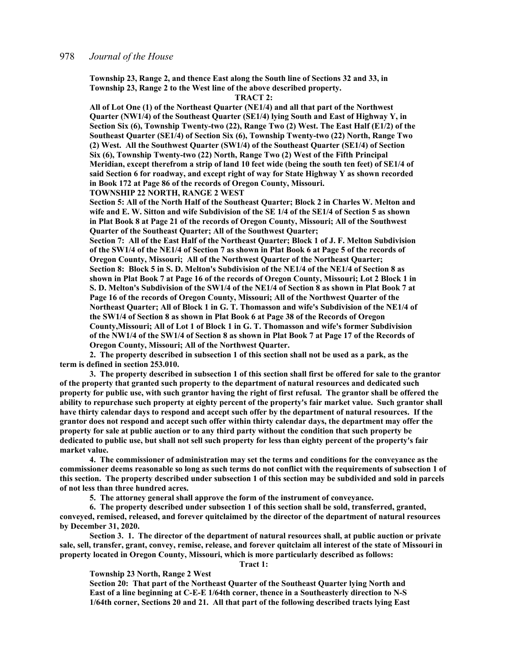**Township 23, Range 2, and thence East along the South line of Sections 32 and 33, in Township 23, Range 2 to the West line of the above described property.** 

#### **TRACT 2:**

**All of Lot One (1) of the Northeast Quarter (NE1/4) and all that part of the Northwest Quarter (NW1/4) of the Southeast Quarter (SE1/4) lying South and East of Highway Y, in Section Six (6), Township Twenty-two (22), Range Two (2) West. The East Half (E1/2) of the Southeast Quarter (SE1/4) of Section Six (6), Township Twenty-two (22) North, Range Two (2) West. All the Southwest Quarter (SW1/4) of the Southeast Quarter (SE1/4) of Section Six (6), Township Twenty-two (22) North, Range Two (2) West of the Fifth Principal Meridian, except therefrom a strip of land 10 feet wide (being the south ten feet) of SE1/4 of said Section 6 for roadway, and except right of way for State Highway Y as shown recorded in Book 172 at Page 86 of the records of Oregon County, Missouri.** 

**TOWNSHIP 22 NORTH, RANGE 2 WEST** 

**Section 5: All of the North Half of the Southeast Quarter; Block 2 in Charles W. Melton and wife and E. W. Sitton and wife Subdivision of the SE 1/4 of the SE1/4 of Section 5 as shown in Plat Book 8 at Page 21 of the records of Oregon County, Missouri; All of the Southwest Quarter of the Southeast Quarter; All of the Southwest Quarter;** 

**Section 7: All of the East Half of the Northeast Quarter; Block 1 of J. F. Melton Subdivision of the SW1/4 of the NE1/4 of Section 7 as shown in Plat Book 6 at Page 5 of the records of Oregon County, Missouri; All of the Northwest Quarter of the Northeast Quarter; Section 8: Block 5 in S. D. Melton's Subdivision of the NE1/4 of the NE1/4 of Section 8 as shown in Plat Book 7 at Page 16 of the records of Oregon County, Missouri; Lot 2 Block 1 in S. D. Melton's Subdivision of the SW1/4 of the NE1/4 of Section 8 as shown in Plat Book 7 at Page 16 of the records of Oregon County, Missouri; All of the Northwest Quarter of the Northeast Quarter; All of Block 1 in G. T. Thomasson and wife's Subdivision of the NE1/4 of the SW1/4 of Section 8 as shown in Plat Book 6 at Page 38 of the Records of Oregon County,Missouri; All of Lot 1 of Block 1 in G. T. Thomasson and wife's former Subdivision of the NW1/4 of the SW1/4 of Section 8 as shown in Plat Book 7 at Page 17 of the Records of Oregon County, Missouri; All of the Northwest Quarter.** 

**2. The property described in subsection 1 of this section shall not be used as a park, as the term is defined in section 253.010.** 

**3. The property described in subsection 1 of this section shall first be offered for sale to the grantor of the property that granted such property to the department of natural resources and dedicated such property for public use, with such grantor having the right of first refusal. The grantor shall be offered the ability to repurchase such property at eighty percent of the property's fair market value. Such grantor shall have thirty calendar days to respond and accept such offer by the department of natural resources. If the grantor does not respond and accept such offer within thirty calendar days, the department may offer the property for sale at public auction or to any third party without the condition that such property be dedicated to public use, but shall not sell such property for less than eighty percent of the property's fair market value.** 

**4. The commissioner of administration may set the terms and conditions for the conveyance as the commissioner deems reasonable so long as such terms do not conflict with the requirements of subsection 1 of this section. The property described under subsection 1 of this section may be subdivided and sold in parcels of not less than three hundred acres.** 

**5. The attorney general shall approve the form of the instrument of conveyance.** 

**6. The property described under subsection 1 of this section shall be sold, transferred, granted, conveyed, remised, released, and forever quitclaimed by the director of the department of natural resources by December 31, 2020.**

**Section 3. 1. The director of the department of natural resources shall, at public auction or private sale, sell, transfer, grant, convey, remise, release, and forever quitclaim all interest of the state of Missouri in property located in Oregon County, Missouri, which is more particularly described as follows:** 

#### **Tract 1:**

**Township 23 North, Range 2 West** 

**Section 20: That part of the Northeast Quarter of the Southeast Quarter lying North and East of a line beginning at C-E-E 1/64th corner, thence in a Southeasterly direction to N-S 1/64th corner, Sections 20 and 21. All that part of the following described tracts lying East**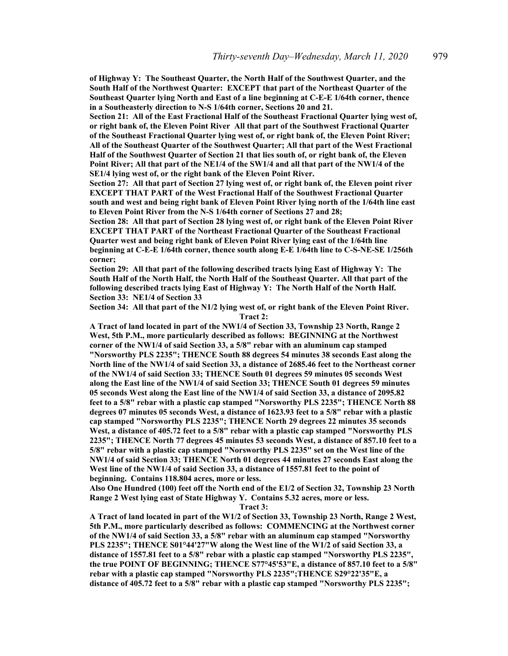**of Highway Y: The Southeast Quarter, the North Half of the Southwest Quarter, and the South Half of the Northwest Quarter: EXCEPT that part of the Northeast Quarter of the Southeast Quarter lying North and East of a line beginning at C-E-E 1/64th corner, thence in a Southeasterly direction to N-S 1/64th corner, Sections 20 and 21.** 

**Section 21: All of the East Fractional Half of the Southeast Fractional Quarter lying west of, or right bank of, the Eleven Point River All that part of the Southwest Fractional Quarter of the Southeast Fractional Quarter lying west of, or right bank of, the Eleven Point River; All of the Southeast Quarter of the Southwest Quarter; All that part of the West Fractional Half of the Southwest Quarter of Section 21 that lies south of, or right bank of, the Eleven Point River; All that part of the NE1/4 of the SW1/4 and all that part of the NW1/4 of the SE1/4 lying west of, or the right bank of the Eleven Point River.** 

**Section 27: All that part of Section 27 lying west of, or right bank of, the Eleven point river EXCEPT THAT PART of the West Fractional Half of the Southwest Fractional Quarter south and west and being right bank of Eleven Point River lying north of the 1/64th line east to Eleven Point River from the N-S 1/64th corner of Sections 27 and 28;** 

**Section 28: All that part of Section 28 lying west of, or right bank of the Eleven Point River EXCEPT THAT PART of the Northeast Fractional Quarter of the Southeast Fractional Quarter west and being right bank of Eleven Point River lying east of the 1/64th line beginning at C-E-E 1/64th corner, thence south along E-E 1/64th line to C-S-NE-SE 1/256th corner;** 

**Section 29: All that part of the following described tracts lying East of Highway Y: The South Half of the North Half, the North Half of the Southeast Quarter. All that part of the**  following described tracts lying East of Highway Y: The North Half of the North Half. **Section 33: NE1/4 of Section 33** 

**Section 34: All that part of the N1/2 lying west of, or right bank of the Eleven Point River. Tract 2:** 

**A Tract of land located in part of the NW1/4 of Section 33, Township 23 North, Range 2 West, 5th P.M., more particularly described as follows: BEGINNING at the Northwest corner of the NW1/4 of said Section 33, a 5/8" rebar with an aluminum cap stamped "Norsworthy PLS 2235"; THENCE South 88 degrees 54 minutes 38 seconds East along the North line of the NW1/4 of said Section 33, a distance of 2685.46 feet to the Northeast corner of the NW1/4 of said Section 33; THENCE South 01 degrees 59 minutes 05 seconds West along the East line of the NW1/4 of said Section 33; THENCE South 01 degrees 59 minutes 05 seconds West along the East line of the NW1/4 of said Section 33, a distance of 2095.82 feet to a 5/8" rebar with a plastic cap stamped "Norsworthy PLS 2235"; THENCE North 88 degrees 07 minutes 05 seconds West, a distance of 1623.93 feet to a 5/8" rebar with a plastic cap stamped "Norsworthy PLS 2235"; THENCE North 29 degrees 22 minutes 35 seconds West, a distance of 405.72 feet to a 5/8" rebar with a plastic cap stamped "Norsworthy PLS 2235"; THENCE North 77 degrees 45 minutes 53 seconds West, a distance of 857.10 feet to a 5/8" rebar with a plastic cap stamped "Norsworthy PLS 2235" set on the West line of the NW1/4 of said Section 33; THENCE North 01 degrees 44 minutes 27 seconds East along the West line of the NW1/4 of said Section 33, a distance of 1557.81 feet to the point of beginning. Contains 118.804 acres, more or less.** 

**Also One Hundred (100) feet off the North end of the E1/2 of Section 32, Township 23 North Range 2 West lying east of State Highway Y. Contains 5.32 acres, more or less.** 

**Tract 3:** 

**A Tract of land located in part of the W1/2 of Section 33, Township 23 North, Range 2 West, 5th P.M., more particularly described as follows: COMMENCING at the Northwest corner of the NW1/4 of said Section 33, a 5/8" rebar with an aluminum cap stamped "Norsworthy PLS 2235"; THENCE S01°44'27"W along the West line of the W1/2 of said Section 33, a distance of 1557.81 feet to a 5/8" rebar with a plastic cap stamped "Norsworthy PLS 2235", the true POINT OF BEGINNING; THENCE S77°45'53"E, a distance of 857.10 feet to a 5/8" rebar with a plastic cap stamped "Norsworthy PLS 2235";THENCE S29°22'35"E, a distance of 405.72 feet to a 5/8" rebar with a plastic cap stamped "Norsworthy PLS 2235";**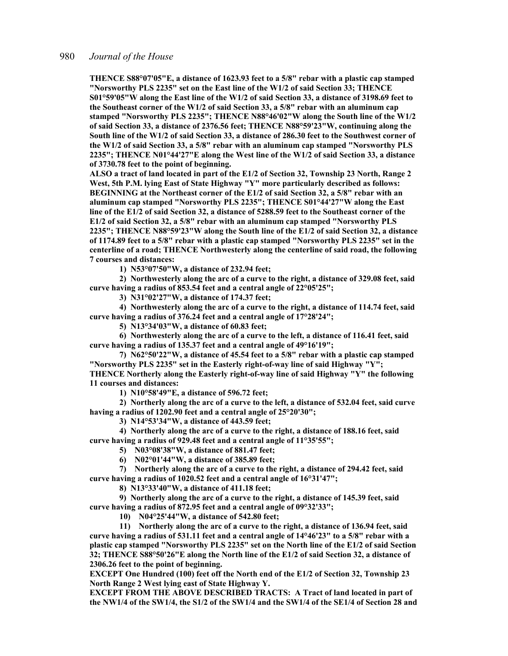**THENCE S88°07'05"E, a distance of 1623.93 feet to a 5/8" rebar with a plastic cap stamped "Norsworthy PLS 2235" set on the East line of the W1/2 of said Section 33; THENCE S01°59'05"W along the East line of the W1/2 of said Section 33, a distance of 3198.69 feet to the Southeast corner of the W1/2 of said Section 33, a 5/8" rebar with an aluminum cap stamped "Norsworthy PLS 2235"; THENCE N88°46'02"W along the South line of the W1/2 of said Section 33, a distance of 2376.56 feet; THENCE N88°59'23"W, continuing along the South line of the W1/2 of said Section 33, a distance of 286.30 feet to the Southwest corner of the W1/2 of said Section 33, a 5/8" rebar with an aluminum cap stamped "Norsworthy PLS 2235"; THENCE N01°44'27"E along the West line of the W1/2 of said Section 33, a distance of 3730.78 feet to the point of beginning.** 

**ALSO a tract of land located in part of the E1/2 of Section 32, Township 23 North, Range 2 West, 5th P.M. lying East of State Highway "Y" more particularly described as follows: BEGINNING at the Northeast corner of the E1/2 of said Section 32, a 5/8" rebar with an aluminum cap stamped "Norsworthy PLS 2235"; THENCE S01°44'27"W along the East line of the E1/2 of said Section 32, a distance of 5288.59 feet to the Southeast corner of the E1/2 of said Section 32, a 5/8" rebar with an aluminum cap stamped "Norsworthy PLS 2235"; THENCE N88°59'23"W along the South line of the E1/2 of said Section 32, a distance of 1174.89 feet to a 5/8" rebar with a plastic cap stamped "Norsworthy PLS 2235" set in the centerline of a road; THENCE Northwesterly along the centerline of said road, the following 7 courses and distances:** 

**1) N53°07'50"W, a distance of 232.94 feet;** 

**2) Northwesterly along the arc of a curve to the right, a distance of 329.08 feet, said curve having a radius of 853.54 feet and a central angle of 22°05'25";** 

**3) N31°02'27"W, a distance of 174.37 feet;** 

**4) Northwesterly along the arc of a curve to the right, a distance of 114.74 feet, said curve having a radius of 376.24 feet and a central angle of 17°28'24";** 

**5) N13°34'03"W, a distance of 60.83 feet;** 

**6) Northwesterly along the arc of a curve to the left, a distance of 116.41 feet, said curve having a radius of 135.37 feet and a central angle of 49°16'19";** 

**7) N62°50'22"W, a distance of 45.54 feet to a 5/8" rebar with a plastic cap stamped "Norsworthy PLS 2235" set in the Easterly right-of-way line of said Highway "Y"; THENCE Northerly along the Easterly right-of-way line of said Highway "Y" the following 11 courses and distances:** 

**1) N10°58'49"E, a distance of 596.72 feet;** 

**2) Northerly along the arc of a curve to the left, a distance of 532.04 feet, said curve having a radius of 1202.90 feet and a central angle of 25°20'30";** 

**3) N14°53'34"W, a distance of 443.59 feet;** 

**4) Northerly along the arc of a curve to the right, a distance of 188.16 feet, said curve having a radius of 929.48 feet and a central angle of 11°35'55";** 

**5) N03°08'38"W, a distance of 881.47 feet;** 

**6) N02°01'44"W, a distance of 385.89 feet;** 

**7) Northerly along the arc of a curve to the right, a distance of 294.42 feet, said curve having a radius of 1020.52 feet and a central angle of 16°31'47";** 

**8) N13°33'40"W, a distance of 411.18 feet;** 

**9) Northerly along the arc of a curve to the right, a distance of 145.39 feet, said curve having a radius of 872.95 feet and a central angle of 09°32'33";** 

**10) N04°25'44"W, a distance of 542.80 feet;** 

**11) Northerly along the arc of a curve to the right, a distance of 136.94 feet, said curve having a radius of 531.11 feet and a central angle of 14°46'23" to a 5/8" rebar with a plastic cap stamped "Norsworthy PLS 2235" set on the North line of the E1/2 of said Section 32; THENCE S88°50'26"E along the North line of the E1/2 of said Section 32, a distance of 2306.26 feet to the point of beginning.** 

**EXCEPT One Hundred (100) feet off the North end of the E1/2 of Section 32, Township 23 North Range 2 West lying east of State Highway Y.** 

**EXCEPT FROM THE ABOVE DESCRIBED TRACTS: A Tract of land located in part of the NW1/4 of the SW1/4, the S1/2 of the SW1/4 and the SW1/4 of the SE1/4 of Section 28 and**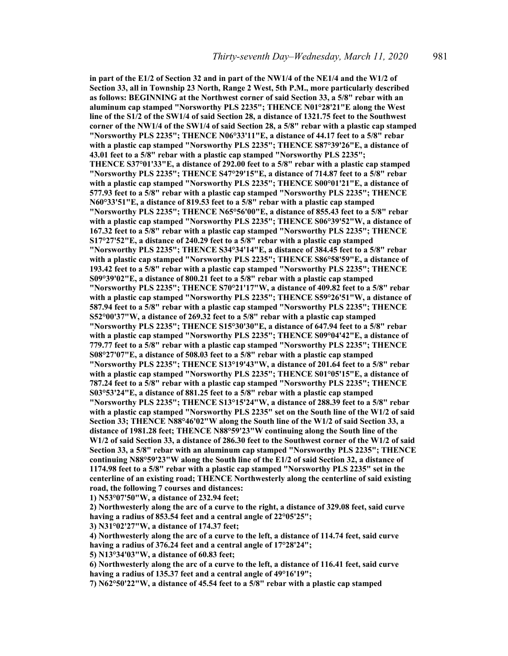**in part of the E1/2 of Section 32 and in part of the NW1/4 of the NE1/4 and the W1/2 of Section 33, all in Township 23 North, Range 2 West, 5th P.M., more particularly described as follows: BEGINNING at the Northwest corner of said Section 33, a 5/8" rebar with an aluminum cap stamped "Norsworthy PLS 2235"; THENCE N01°28'21"E along the West line of the S1/2 of the SW1/4 of said Section 28, a distance of 1321.75 feet to the Southwest corner of the NW1/4 of the SW1/4 of said Section 28, a 5/8" rebar with a plastic cap stamped "Norsworthy PLS 2235"; THENCE N06°33'11"E, a distance of 44.17 feet to a 5/8" rebar with a plastic cap stamped "Norsworthy PLS 2235"; THENCE S87°39'26"E, a distance of 43.01 feet to a 5/8" rebar with a plastic cap stamped "Norsworthy PLS 2235"; THENCE S37°01'33"E, a distance of 292.00 feet to a 5/8" rebar with a plastic cap stamped "Norsworthy PLS 2235"; THENCE S47°29'15"E, a distance of 714.87 feet to a 5/8" rebar with a plastic cap stamped "Norsworthy PLS 2235"; THENCE S00°01'21"E, a distance of 577.93 feet to a 5/8" rebar with a plastic cap stamped "Norsworthy PLS 2235"; THENCE N60°33'51"E, a distance of 819.53 feet to a 5/8" rebar with a plastic cap stamped "Norsworthy PLS 2235"; THENCE N65°56'00"E, a distance of 855.43 feet to a 5/8" rebar with a plastic cap stamped "Norsworthy PLS 2235"; THENCE S06°39'52"W, a distance of 167.32 feet to a 5/8" rebar with a plastic cap stamped "Norsworthy PLS 2235"; THENCE S17°27'52"E, a distance of 240.29 feet to a 5/8" rebar with a plastic cap stamped "Norsworthy PLS 2235"; THENCE S34°34'14"E, a distance of 384.45 feet to a 5/8" rebar with a plastic cap stamped "Norsworthy PLS 2235"; THENCE S86°58'59"E, a distance of 193.42 feet to a 5/8" rebar with a plastic cap stamped "Norsworthy PLS 2235"; THENCE S09°39'02"E, a distance of 800.21 feet to a 5/8" rebar with a plastic cap stamped "Norsworthy PLS 2235"; THENCE S70°21'17"W, a distance of 409.82 feet to a 5/8" rebar with a plastic cap stamped "Norsworthy PLS 2235"; THENCE S59°26'51"W, a distance of 587.94 feet to a 5/8" rebar with a plastic cap stamped "Norsworthy PLS 2235"; THENCE S52°00'37"W, a distance of 269.32 feet to a 5/8" rebar with a plastic cap stamped "Norsworthy PLS 2235"; THENCE S15°30'30"E, a distance of 647.94 feet to a 5/8" rebar with a plastic cap stamped "Norsworthy PLS 2235"; THENCE S09°04'42"E, a distance of 779.77 feet to a 5/8" rebar with a plastic cap stamped "Norsworthy PLS 2235"; THENCE S08°27'07"E, a distance of 508.03 feet to a 5/8" rebar with a plastic cap stamped "Norsworthy PLS 2235"; THENCE S13°19'43"W, a distance of 201.64 feet to a 5/8" rebar with a plastic cap stamped "Norsworthy PLS 2235"; THENCE S01°05'15"E, a distance of 787.24 feet to a 5/8" rebar with a plastic cap stamped "Norsworthy PLS 2235"; THENCE S03°53'24"E, a distance of 881.25 feet to a 5/8" rebar with a plastic cap stamped "Norsworthy PLS 2235"; THENCE S13°15'24"W, a distance of 288.39 feet to a 5/8" rebar with a plastic cap stamped "Norsworthy PLS 2235" set on the South line of the W1/2 of said Section 33; THENCE N88°46'02"W along the South line of the W1/2 of said Section 33, a distance of 1981.28 feet; THENCE N88°59'23"W continuing along the South line of the W1/2 of said Section 33, a distance of 286.30 feet to the Southwest corner of the W1/2 of said Section 33, a 5/8" rebar with an aluminum cap stamped "Norsworthy PLS 2235"; THENCE continuing N88°59'23"W along the South line of the E1/2 of said Section 32, a distance of 1174.98 feet to a 5/8" rebar with a plastic cap stamped "Norsworthy PLS 2235" set in the centerline of an existing road; THENCE Northwesterly along the centerline of said existing road, the following 7 courses and distances:** 

**1) N53°07'50"W, a distance of 232.94 feet;** 

**2) Northwesterly along the arc of a curve to the right, a distance of 329.08 feet, said curve having a radius of 853.54 feet and a central angle of 22°05'25";** 

**3) N31°02'27"W, a distance of 174.37 feet;** 

**4) Northwesterly along the arc of a curve to the left, a distance of 114.74 feet, said curve having a radius of 376.24 feet and a central angle of 17°28'24";** 

**5) N13°34'03"W, a distance of 60.83 feet;** 

**6) Northwesterly along the arc of a curve to the left, a distance of 116.41 feet, said curve having a radius of 135.37 feet and a central angle of 49°16'19";** 

**7) N62°50'22"W, a distance of 45.54 feet to a 5/8" rebar with a plastic cap stamped**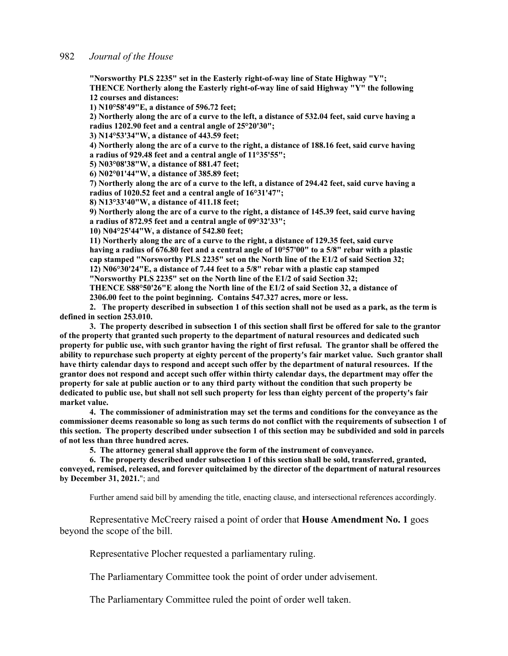**"Norsworthy PLS 2235" set in the Easterly right-of-way line of State Highway "Y"; THENCE Northerly along the Easterly right-of-way line of said Highway "Y" the following 12 courses and distances:** 

**1) N10°58'49"E, a distance of 596.72 feet;** 

**2) Northerly along the arc of a curve to the left, a distance of 532.04 feet, said curve having a radius 1202.90 feet and a central angle of 25°20'30";** 

**3) N14°53'34"W, a distance of 443.59 feet;** 

**4) Northerly along the arc of a curve to the right, a distance of 188.16 feet, said curve having a radius of 929.48 feet and a central angle of 11°35'55";** 

**5) N03°08'38"W, a distance of 881.47 feet;** 

**6) N02°01'44"W, a distance of 385.89 feet;** 

**7) Northerly along the arc of a curve to the left, a distance of 294.42 feet, said curve having a radius of 1020.52 feet and a central angle of 16°31'47";** 

**8) N13°33'40"W, a distance of 411.18 feet;** 

**9) Northerly along the arc of a curve to the right, a distance of 145.39 feet, said curve having a radius of 872.95 feet and a central angle of 09°32'33";** 

**10) N04°25'44"W, a distance of 542.80 feet;** 

**11) Northerly along the arc of a curve to the right, a distance of 129.35 feet, said curve having a radius of 676.80 feet and a central angle of 10°57'00" to a 5/8" rebar with a plastic cap stamped "Norsworthy PLS 2235" set on the North line of the E1/2 of said Section 32; 12) N06°30'24"E, a distance of 7.44 feet to a 5/8" rebar with a plastic cap stamped** 

**"Norsworthy PLS 2235" set on the North line of the E1/2 of said Section 32;** 

**THENCE S88°50'26"E along the North line of the E1/2 of said Section 32, a distance of 2306.00 feet to the point beginning. Contains 547.327 acres, more or less.** 

**2. The property described in subsection 1 of this section shall not be used as a park, as the term is defined in section 253.010.** 

**3. The property described in subsection 1 of this section shall first be offered for sale to the grantor of the property that granted such property to the department of natural resources and dedicated such property for public use, with such grantor having the right of first refusal. The grantor shall be offered the ability to repurchase such property at eighty percent of the property's fair market value. Such grantor shall have thirty calendar days to respond and accept such offer by the department of natural resources. If the grantor does not respond and accept such offer within thirty calendar days, the department may offer the property for sale at public auction or to any third party without the condition that such property be dedicated to public use, but shall not sell such property for less than eighty percent of the property's fair market value.** 

**4. The commissioner of administration may set the terms and conditions for the conveyance as the commissioner deems reasonable so long as such terms do not conflict with the requirements of subsection 1 of this section. The property described under subsection 1 of this section may be subdivided and sold in parcels of not less than three hundred acres.** 

**5. The attorney general shall approve the form of the instrument of conveyance.** 

**6. The property described under subsection 1 of this section shall be sold, transferred, granted, conveyed, remised, released, and forever quitclaimed by the director of the department of natural resources by December 31, 2021.**"; and

Further amend said bill by amending the title, enacting clause, and intersectional references accordingly.

 Representative McCreery raised a point of order that **House Amendment No. 1** goes beyond the scope of the bill.

Representative Plocher requested a parliamentary ruling.

The Parliamentary Committee took the point of order under advisement.

The Parliamentary Committee ruled the point of order well taken.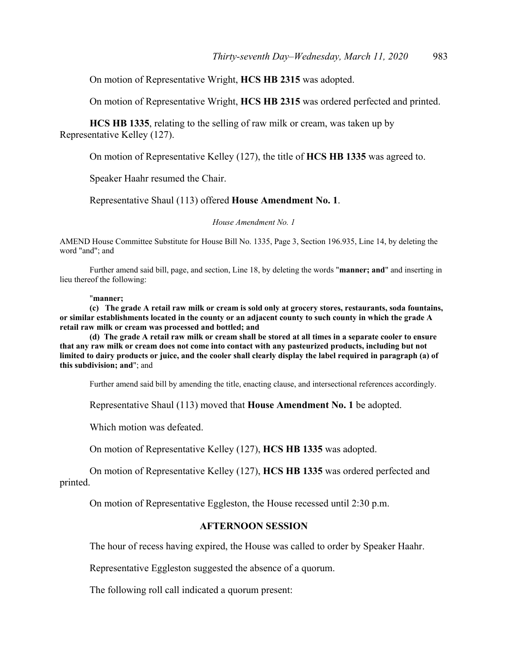On motion of Representative Wright, **HCS HB 2315** was adopted.

On motion of Representative Wright, **HCS HB 2315** was ordered perfected and printed.

**HCS HB 1335**, relating to the selling of raw milk or cream, was taken up by Representative Kelley (127).

On motion of Representative Kelley (127), the title of **HCS HB 1335** was agreed to.

Speaker Haahr resumed the Chair.

Representative Shaul (113) offered **House Amendment No. 1**.

*House Amendment No. 1*

AMEND House Committee Substitute for House Bill No. 1335, Page 3, Section 196.935, Line 14, by deleting the word "and"; and

 Further amend said bill, page, and section, Line 18, by deleting the words "**manner; and**" and inserting in lieu thereof the following:

#### "**manner;**

**(c) The grade A retail raw milk or cream is sold only at grocery stores, restaurants, soda fountains, or similar establishments located in the county or an adjacent county to such county in which the grade A retail raw milk or cream was processed and bottled; and** 

**(d) The grade A retail raw milk or cream shall be stored at all times in a separate cooler to ensure that any raw milk or cream does not come into contact with any pasteurized products, including but not limited to dairy products or juice, and the cooler shall clearly display the label required in paragraph (a) of this subdivision; and**"; and

Further amend said bill by amending the title, enacting clause, and intersectional references accordingly.

Representative Shaul (113) moved that **House Amendment No. 1** be adopted.

Which motion was defeated.

On motion of Representative Kelley (127), **HCS HB 1335** was adopted.

 On motion of Representative Kelley (127), **HCS HB 1335** was ordered perfected and printed.

On motion of Representative Eggleston, the House recessed until 2:30 p.m.

# **AFTERNOON SESSION**

The hour of recess having expired, the House was called to order by Speaker Haahr.

Representative Eggleston suggested the absence of a quorum.

The following roll call indicated a quorum present: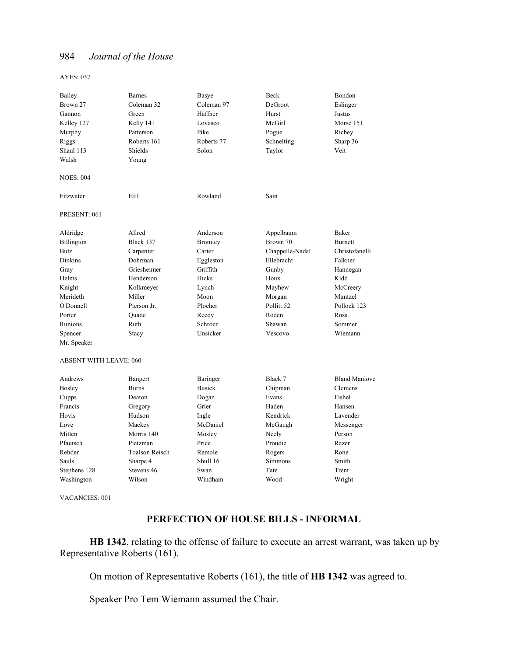AYES: 037

| Bailey                        | <b>Barnes</b>         | Basye          | Beck            | Bondon               |
|-------------------------------|-----------------------|----------------|-----------------|----------------------|
| Brown 27                      | Coleman 32            | Coleman 97     | DeGroot         | Eslinger             |
| Gannon                        | Green                 | Haffner        | Hurst           | Justus               |
| Kelley 127                    | Kelly 141             | Lovasco        | McGirl          | Morse 151            |
| Murphy                        | Patterson             | Pike           | Pogue           | Richey               |
| Riggs                         | Roberts 161           | Roberts 77     | Schnelting      | Sharp 36             |
| Shaul 113                     | Shields               | Solon          | Taylor          | Veit                 |
| Walsh                         | Young                 |                |                 |                      |
| <b>NOES: 004</b>              |                       |                |                 |                      |
| Fitzwater                     | Hill                  | Rowland        | Sain            |                      |
| PRESENT: 061                  |                       |                |                 |                      |
| Aldridge                      | Allred                | Anderson       | Appelbaum       | Baker                |
| Billington                    | Black 137             | <b>Bromley</b> | Brown 70        | <b>Burnett</b>       |
| <b>Butz</b>                   | Carpenter             | Carter         | Chappelle-Nadal | Christofanelli       |
| <b>Dinkins</b>                | Dohrman               | Eggleston      | Ellebracht      | Falkner              |
| Gray                          | Griesheimer           | Griffith       | Gunby           | Hannegan             |
| Helms                         | Henderson             | Hicks          | Houx            | Kidd                 |
| Knight                        | Kolkmeyer             | Lynch          | Mayhew          | McCreery             |
| Merideth                      | Miller                | Moon           | Morgan          | Muntzel              |
| O'Donnell                     | Pierson Jr.           | Plocher        | Pollitt 52      | Pollock 123          |
| Porter                        | Quade                 | Reedy          | Roden           | Ross                 |
| Runions                       | Ruth                  | Schroer        | Shawan          | Sommer               |
| Spencer                       | Stacy                 | Unsicker       | Vescovo         | Wiemann              |
| Mr. Speaker                   |                       |                |                 |                      |
| <b>ABSENT WITH LEAVE: 060</b> |                       |                |                 |                      |
| Andrews                       | Bangert               | Baringer       | Black 7         | <b>Bland Manlove</b> |
| Bosley                        | <b>Burns</b>          | <b>Busick</b>  | Chipman         | Clemens              |
| Cupps                         | Deaton                | Dogan          | Evans           | Fishel               |
| Francis                       | Gregory               | Grier          | Haden           | Hansen               |
| Hovis                         | Hudson                | Ingle          | Kendrick        | Lavender             |
| Love                          | Mackey                | McDaniel       | McGaugh         | Messenger            |
| Mitten                        | Morris 140            | Mosley         | Neely           | Person               |
| Pfautsch                      | Pietzman              | Price          | Proudie         | Razer                |
| Rehder                        | <b>Toalson Reisch</b> | Remole         | Rogers          | Rone                 |
| Sauls                         | Sharpe 4              | Shull 16       | Simmons         | Smith                |
| Stephens 128                  | Stevens 46            | Swan           | Tate            | Trent                |
| Washington                    | Wilson                | Windham        | Wood            | Wright               |

VACANCIES: 001

# **PERFECTION OF HOUSE BILLS - INFORMAL**

**HB 1342**, relating to the offense of failure to execute an arrest warrant, was taken up by Representative Roberts (161).

On motion of Representative Roberts (161), the title of **HB 1342** was agreed to.

Speaker Pro Tem Wiemann assumed the Chair.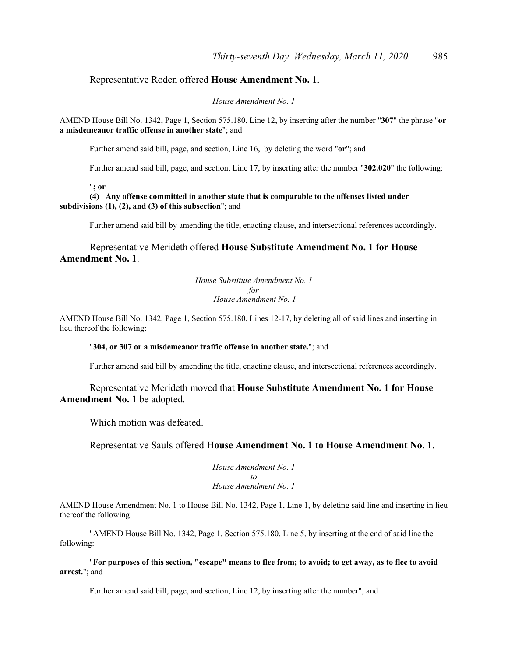# Representative Roden offered **House Amendment No. 1**.

*House Amendment No. 1*

AMEND House Bill No. 1342, Page 1, Section 575.180, Line 12, by inserting after the number "**307**" the phrase "**or a misdemeanor traffic offense in another state**"; and

Further amend said bill, page, and section, Line 16, by deleting the word "**or**"; and

Further amend said bill, page, and section, Line 17, by inserting after the number "**302.020**" the following:

"**; or** 

**(4) Any offense committed in another state that is comparable to the offenses listed under subdivisions (1), (2), and (3) of this subsection**"; and

Further amend said bill by amending the title, enacting clause, and intersectional references accordingly.

 Representative Merideth offered **House Substitute Amendment No. 1 for House Amendment No. 1**.

> *House Substitute Amendment No. 1 for House Amendment No. 1*

AMEND House Bill No. 1342, Page 1, Section 575.180, Lines 12-17, by deleting all of said lines and inserting in lieu thereof the following:

#### "**304, or 307 or a misdemeanor traffic offense in another state.**"; and

Further amend said bill by amending the title, enacting clause, and intersectional references accordingly.

 Representative Merideth moved that **House Substitute Amendment No. 1 for House Amendment No. 1** be adopted.

Which motion was defeated.

Representative Sauls offered **House Amendment No. 1 to House Amendment No. 1**.

*House Amendment No. 1 to House Amendment No. 1*

AMEND House Amendment No. 1 to House Bill No. 1342, Page 1, Line 1, by deleting said line and inserting in lieu thereof the following:

 "AMEND House Bill No. 1342, Page 1, Section 575.180, Line 5, by inserting at the end of said line the following:

 "**For purposes of this section, "escape" means to flee from; to avoid; to get away, as to flee to avoid arrest.**"; and

Further amend said bill, page, and section, Line 12, by inserting after the number"; and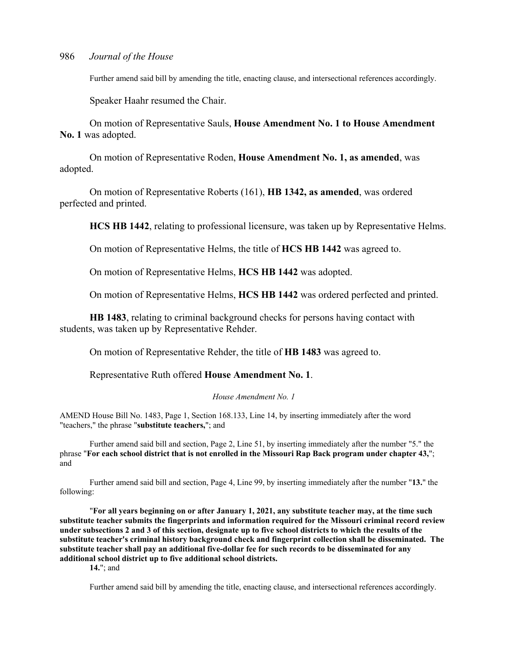Further amend said bill by amending the title, enacting clause, and intersectional references accordingly.

Speaker Haahr resumed the Chair.

 On motion of Representative Sauls, **House Amendment No. 1 to House Amendment No. 1** was adopted.

 On motion of Representative Roden, **House Amendment No. 1, as amended**, was adopted.

 On motion of Representative Roberts (161), **HB 1342, as amended**, was ordered perfected and printed.

**HCS HB 1442**, relating to professional licensure, was taken up by Representative Helms.

On motion of Representative Helms, the title of **HCS HB 1442** was agreed to.

On motion of Representative Helms, **HCS HB 1442** was adopted.

On motion of Representative Helms, **HCS HB 1442** was ordered perfected and printed.

**HB 1483**, relating to criminal background checks for persons having contact with students, was taken up by Representative Rehder.

On motion of Representative Rehder, the title of **HB 1483** was agreed to.

Representative Ruth offered **House Amendment No. 1**.

#### *House Amendment No. 1*

AMEND House Bill No. 1483, Page 1, Section 168.133, Line 14, by inserting immediately after the word "teachers," the phrase "**substitute teachers,**"; and

 Further amend said bill and section, Page 2, Line 51, by inserting immediately after the number "5." the phrase "**For each school district that is not enrolled in the Missouri Rap Back program under chapter 43,**"; and

 Further amend said bill and section, Page 4, Line 99, by inserting immediately after the number "**13.**" the following:

 "**For all years beginning on or after January 1, 2021, any substitute teacher may, at the time such substitute teacher submits the fingerprints and information required for the Missouri criminal record review under subsections 2 and 3 of this section, designate up to five school districts to which the results of the substitute teacher's criminal history background check and fingerprint collection shall be disseminated. The substitute teacher shall pay an additional five-dollar fee for such records to be disseminated for any additional school district up to five additional school districts.** 

**14.**"; and

Further amend said bill by amending the title, enacting clause, and intersectional references accordingly.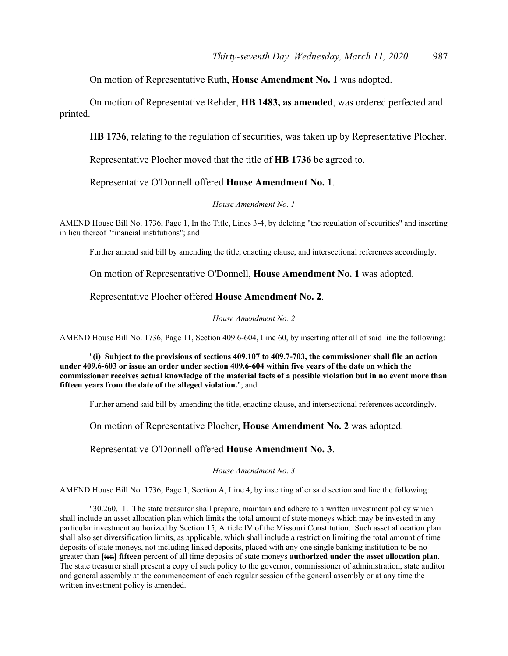On motion of Representative Ruth, **House Amendment No. 1** was adopted.

 On motion of Representative Rehder, **HB 1483, as amended**, was ordered perfected and printed.

**HB 1736**, relating to the regulation of securities, was taken up by Representative Plocher.

Representative Plocher moved that the title of **HB 1736** be agreed to.

Representative O'Donnell offered **House Amendment No. 1**.

#### *House Amendment No. 1*

AMEND House Bill No. 1736, Page 1, In the Title, Lines 3-4, by deleting "the regulation of securities" and inserting in lieu thereof "financial institutions"; and

Further amend said bill by amending the title, enacting clause, and intersectional references accordingly.

On motion of Representative O'Donnell, **House Amendment No. 1** was adopted.

Representative Plocher offered **House Amendment No. 2**.

*House Amendment No. 2*

AMEND House Bill No. 1736, Page 11, Section 409.6-604, Line 60, by inserting after all of said line the following:

 "**(i) Subject to the provisions of sections 409.107 to 409.7-703, the commissioner shall file an action under 409.6-603 or issue an order under section 409.6-604 within five years of the date on which the commissioner receives actual knowledge of the material facts of a possible violation but in no event more than fifteen years from the date of the alleged violation.**"; and

Further amend said bill by amending the title, enacting clause, and intersectional references accordingly.

On motion of Representative Plocher, **House Amendment No. 2** was adopted.

Representative O'Donnell offered **House Amendment No. 3**.

*House Amendment No. 3*

AMEND House Bill No. 1736, Page 1, Section A, Line 4, by inserting after said section and line the following:

 "30.260. 1. The state treasurer shall prepare, maintain and adhere to a written investment policy which shall include an asset allocation plan which limits the total amount of state moneys which may be invested in any particular investment authorized by Section 15, Article IV of the Missouri Constitution. Such asset allocation plan shall also set diversification limits, as applicable, which shall include a restriction limiting the total amount of time deposits of state moneys, not including linked deposits, placed with any one single banking institution to be no greater than **[**ten**] fifteen** percent of all time deposits of state moneys **authorized under the asset allocation plan**. The state treasurer shall present a copy of such policy to the governor, commissioner of administration, state auditor and general assembly at the commencement of each regular session of the general assembly or at any time the written investment policy is amended.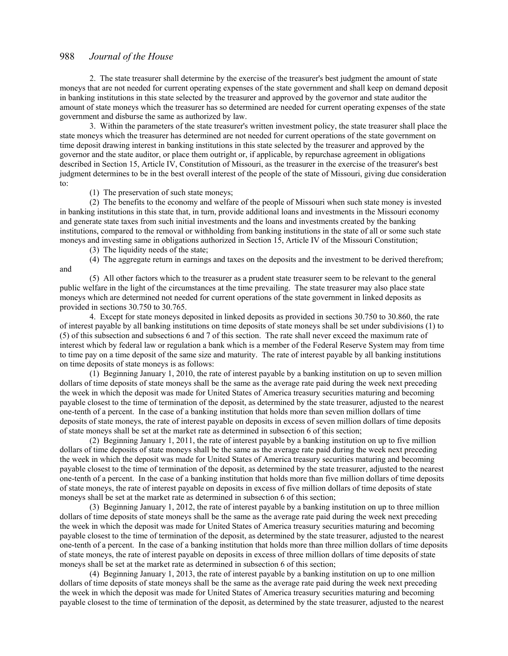2. The state treasurer shall determine by the exercise of the treasurer's best judgment the amount of state moneys that are not needed for current operating expenses of the state government and shall keep on demand deposit in banking institutions in this state selected by the treasurer and approved by the governor and state auditor the amount of state moneys which the treasurer has so determined are needed for current operating expenses of the state government and disburse the same as authorized by law.

 3. Within the parameters of the state treasurer's written investment policy, the state treasurer shall place the state moneys which the treasurer has determined are not needed for current operations of the state government on time deposit drawing interest in banking institutions in this state selected by the treasurer and approved by the governor and the state auditor, or place them outright or, if applicable, by repurchase agreement in obligations described in Section 15, Article IV, Constitution of Missouri, as the treasurer in the exercise of the treasurer's best judgment determines to be in the best overall interest of the people of the state of Missouri, giving due consideration to:

(1) The preservation of such state moneys;

 (2) The benefits to the economy and welfare of the people of Missouri when such state money is invested in banking institutions in this state that, in turn, provide additional loans and investments in the Missouri economy and generate state taxes from such initial investments and the loans and investments created by the banking institutions, compared to the removal or withholding from banking institutions in the state of all or some such state moneys and investing same in obligations authorized in Section 15, Article IV of the Missouri Constitution;

(3) The liquidity needs of the state;

 (4) The aggregate return in earnings and taxes on the deposits and the investment to be derived therefrom; and

 (5) All other factors which to the treasurer as a prudent state treasurer seem to be relevant to the general public welfare in the light of the circumstances at the time prevailing. The state treasurer may also place state moneys which are determined not needed for current operations of the state government in linked deposits as provided in sections 30.750 to 30.765.

 4. Except for state moneys deposited in linked deposits as provided in sections 30.750 to 30.860, the rate of interest payable by all banking institutions on time deposits of state moneys shall be set under subdivisions (1) to (5) of this subsection and subsections 6 and 7 of this section. The rate shall never exceed the maximum rate of interest which by federal law or regulation a bank which is a member of the Federal Reserve System may from time to time pay on a time deposit of the same size and maturity. The rate of interest payable by all banking institutions on time deposits of state moneys is as follows:

 (1) Beginning January 1, 2010, the rate of interest payable by a banking institution on up to seven million dollars of time deposits of state moneys shall be the same as the average rate paid during the week next preceding the week in which the deposit was made for United States of America treasury securities maturing and becoming payable closest to the time of termination of the deposit, as determined by the state treasurer, adjusted to the nearest one-tenth of a percent. In the case of a banking institution that holds more than seven million dollars of time deposits of state moneys, the rate of interest payable on deposits in excess of seven million dollars of time deposits of state moneys shall be set at the market rate as determined in subsection 6 of this section;

 (2) Beginning January 1, 2011, the rate of interest payable by a banking institution on up to five million dollars of time deposits of state moneys shall be the same as the average rate paid during the week next preceding the week in which the deposit was made for United States of America treasury securities maturing and becoming payable closest to the time of termination of the deposit, as determined by the state treasurer, adjusted to the nearest one-tenth of a percent. In the case of a banking institution that holds more than five million dollars of time deposits of state moneys, the rate of interest payable on deposits in excess of five million dollars of time deposits of state moneys shall be set at the market rate as determined in subsection 6 of this section;

 (3) Beginning January 1, 2012, the rate of interest payable by a banking institution on up to three million dollars of time deposits of state moneys shall be the same as the average rate paid during the week next preceding the week in which the deposit was made for United States of America treasury securities maturing and becoming payable closest to the time of termination of the deposit, as determined by the state treasurer, adjusted to the nearest one-tenth of a percent. In the case of a banking institution that holds more than three million dollars of time deposits of state moneys, the rate of interest payable on deposits in excess of three million dollars of time deposits of state moneys shall be set at the market rate as determined in subsection 6 of this section;

 (4) Beginning January 1, 2013, the rate of interest payable by a banking institution on up to one million dollars of time deposits of state moneys shall be the same as the average rate paid during the week next preceding the week in which the deposit was made for United States of America treasury securities maturing and becoming payable closest to the time of termination of the deposit, as determined by the state treasurer, adjusted to the nearest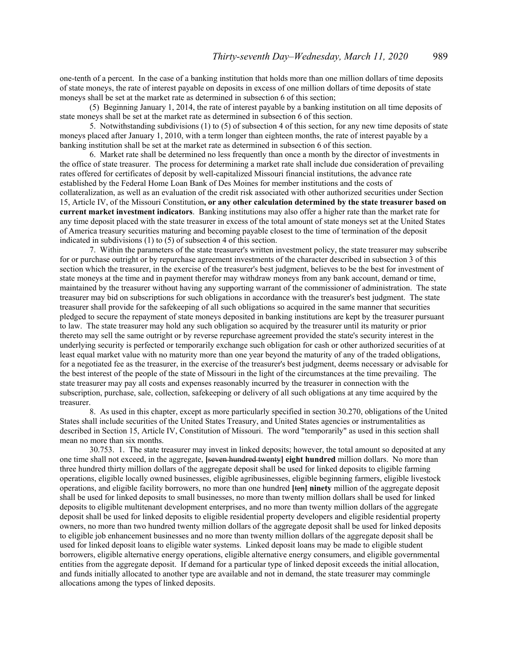one-tenth of a percent. In the case of a banking institution that holds more than one million dollars of time deposits of state moneys, the rate of interest payable on deposits in excess of one million dollars of time deposits of state moneys shall be set at the market rate as determined in subsection 6 of this section;

 (5) Beginning January 1, 2014, the rate of interest payable by a banking institution on all time deposits of state moneys shall be set at the market rate as determined in subsection 6 of this section.

 5. Notwithstanding subdivisions (1) to (5) of subsection 4 of this section, for any new time deposits of state moneys placed after January 1, 2010, with a term longer than eighteen months, the rate of interest payable by a banking institution shall be set at the market rate as determined in subsection 6 of this section.

 6. Market rate shall be determined no less frequently than once a month by the director of investments in the office of state treasurer. The process for determining a market rate shall include due consideration of prevailing rates offered for certificates of deposit by well-capitalized Missouri financial institutions, the advance rate established by the Federal Home Loan Bank of Des Moines for member institutions and the costs of collateralization, as well as an evaluation of the credit risk associated with other authorized securities under Section 15, Article IV, of the Missouri Constitution**, or any other calculation determined by the state treasurer based on current market investment indicators**. Banking institutions may also offer a higher rate than the market rate for any time deposit placed with the state treasurer in excess of the total amount of state moneys set at the United States of America treasury securities maturing and becoming payable closest to the time of termination of the deposit indicated in subdivisions (1) to (5) of subsection 4 of this section.

 7. Within the parameters of the state treasurer's written investment policy, the state treasurer may subscribe for or purchase outright or by repurchase agreement investments of the character described in subsection 3 of this section which the treasurer, in the exercise of the treasurer's best judgment, believes to be the best for investment of state moneys at the time and in payment therefor may withdraw moneys from any bank account, demand or time, maintained by the treasurer without having any supporting warrant of the commissioner of administration. The state treasurer may bid on subscriptions for such obligations in accordance with the treasurer's best judgment. The state treasurer shall provide for the safekeeping of all such obligations so acquired in the same manner that securities pledged to secure the repayment of state moneys deposited in banking institutions are kept by the treasurer pursuant to law. The state treasurer may hold any such obligation so acquired by the treasurer until its maturity or prior thereto may sell the same outright or by reverse repurchase agreement provided the state's security interest in the underlying security is perfected or temporarily exchange such obligation for cash or other authorized securities of at least equal market value with no maturity more than one year beyond the maturity of any of the traded obligations, for a negotiated fee as the treasurer, in the exercise of the treasurer's best judgment, deems necessary or advisable for the best interest of the people of the state of Missouri in the light of the circumstances at the time prevailing. The state treasurer may pay all costs and expenses reasonably incurred by the treasurer in connection with the subscription, purchase, sale, collection, safekeeping or delivery of all such obligations at any time acquired by the treasurer.

 8. As used in this chapter, except as more particularly specified in section 30.270, obligations of the United States shall include securities of the United States Treasury, and United States agencies or instrumentalities as described in Section 15, Article IV, Constitution of Missouri. The word "temporarily" as used in this section shall mean no more than six months.

 30.753. 1. The state treasurer may invest in linked deposits; however, the total amount so deposited at any one time shall not exceed, in the aggregate, **[**seven hundred twenty**] eight hundred** million dollars. No more than three hundred thirty million dollars of the aggregate deposit shall be used for linked deposits to eligible farming operations, eligible locally owned businesses, eligible agribusinesses, eligible beginning farmers, eligible livestock operations, and eligible facility borrowers, no more than one hundred **[**ten**] ninety** million of the aggregate deposit shall be used for linked deposits to small businesses, no more than twenty million dollars shall be used for linked deposits to eligible multitenant development enterprises, and no more than twenty million dollars of the aggregate deposit shall be used for linked deposits to eligible residential property developers and eligible residential property owners, no more than two hundred twenty million dollars of the aggregate deposit shall be used for linked deposits to eligible job enhancement businesses and no more than twenty million dollars of the aggregate deposit shall be used for linked deposit loans to eligible water systems. Linked deposit loans may be made to eligible student borrowers, eligible alternative energy operations, eligible alternative energy consumers, and eligible governmental entities from the aggregate deposit. If demand for a particular type of linked deposit exceeds the initial allocation, and funds initially allocated to another type are available and not in demand, the state treasurer may commingle allocations among the types of linked deposits.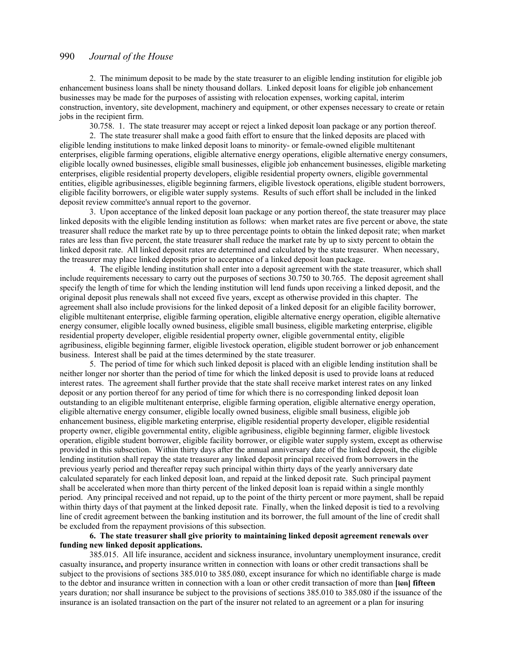2. The minimum deposit to be made by the state treasurer to an eligible lending institution for eligible job enhancement business loans shall be ninety thousand dollars. Linked deposit loans for eligible job enhancement businesses may be made for the purposes of assisting with relocation expenses, working capital, interim construction, inventory, site development, machinery and equipment, or other expenses necessary to create or retain jobs in the recipient firm.

30.758. 1. The state treasurer may accept or reject a linked deposit loan package or any portion thereof.

 2. The state treasurer shall make a good faith effort to ensure that the linked deposits are placed with eligible lending institutions to make linked deposit loans to minority- or female-owned eligible multitenant enterprises, eligible farming operations, eligible alternative energy operations, eligible alternative energy consumers, eligible locally owned businesses, eligible small businesses, eligible job enhancement businesses, eligible marketing enterprises, eligible residential property developers, eligible residential property owners, eligible governmental entities, eligible agribusinesses, eligible beginning farmers, eligible livestock operations, eligible student borrowers, eligible facility borrowers, or eligible water supply systems. Results of such effort shall be included in the linked deposit review committee's annual report to the governor.

 3. Upon acceptance of the linked deposit loan package or any portion thereof, the state treasurer may place linked deposits with the eligible lending institution as follows: when market rates are five percent or above, the state treasurer shall reduce the market rate by up to three percentage points to obtain the linked deposit rate; when market rates are less than five percent, the state treasurer shall reduce the market rate by up to sixty percent to obtain the linked deposit rate. All linked deposit rates are determined and calculated by the state treasurer. When necessary, the treasurer may place linked deposits prior to acceptance of a linked deposit loan package.

 4. The eligible lending institution shall enter into a deposit agreement with the state treasurer, which shall include requirements necessary to carry out the purposes of sections 30.750 to 30.765. The deposit agreement shall specify the length of time for which the lending institution will lend funds upon receiving a linked deposit, and the original deposit plus renewals shall not exceed five years, except as otherwise provided in this chapter. The agreement shall also include provisions for the linked deposit of a linked deposit for an eligible facility borrower, eligible multitenant enterprise, eligible farming operation, eligible alternative energy operation, eligible alternative energy consumer, eligible locally owned business, eligible small business, eligible marketing enterprise, eligible residential property developer, eligible residential property owner, eligible governmental entity, eligible agribusiness, eligible beginning farmer, eligible livestock operation, eligible student borrower or job enhancement business. Interest shall be paid at the times determined by the state treasurer.

 5. The period of time for which such linked deposit is placed with an eligible lending institution shall be neither longer nor shorter than the period of time for which the linked deposit is used to provide loans at reduced interest rates. The agreement shall further provide that the state shall receive market interest rates on any linked deposit or any portion thereof for any period of time for which there is no corresponding linked deposit loan outstanding to an eligible multitenant enterprise, eligible farming operation, eligible alternative energy operation, eligible alternative energy consumer, eligible locally owned business, eligible small business, eligible job enhancement business, eligible marketing enterprise, eligible residential property developer, eligible residential property owner, eligible governmental entity, eligible agribusiness, eligible beginning farmer, eligible livestock operation, eligible student borrower, eligible facility borrower, or eligible water supply system, except as otherwise provided in this subsection. Within thirty days after the annual anniversary date of the linked deposit, the eligible lending institution shall repay the state treasurer any linked deposit principal received from borrowers in the previous yearly period and thereafter repay such principal within thirty days of the yearly anniversary date calculated separately for each linked deposit loan, and repaid at the linked deposit rate. Such principal payment shall be accelerated when more than thirty percent of the linked deposit loan is repaid within a single monthly period. Any principal received and not repaid, up to the point of the thirty percent or more payment, shall be repaid within thirty days of that payment at the linked deposit rate. Finally, when the linked deposit is tied to a revolving line of credit agreement between the banking institution and its borrower, the full amount of the line of credit shall be excluded from the repayment provisions of this subsection.

#### **6. The state treasurer shall give priority to maintaining linked deposit agreement renewals over funding new linked deposit applications.**

 385.015. All life insurance, accident and sickness insurance, involuntary unemployment insurance, credit casualty insurance**,** and property insurance written in connection with loans or other credit transactions shall be subject to the provisions of sections 385.010 to 385.080, except insurance for which no identifiable charge is made to the debtor and insurance written in connection with a loan or other credit transaction of more than **[**ten**] fifteen** years duration; nor shall insurance be subject to the provisions of sections 385.010 to 385.080 if the issuance of the insurance is an isolated transaction on the part of the insurer not related to an agreement or a plan for insuring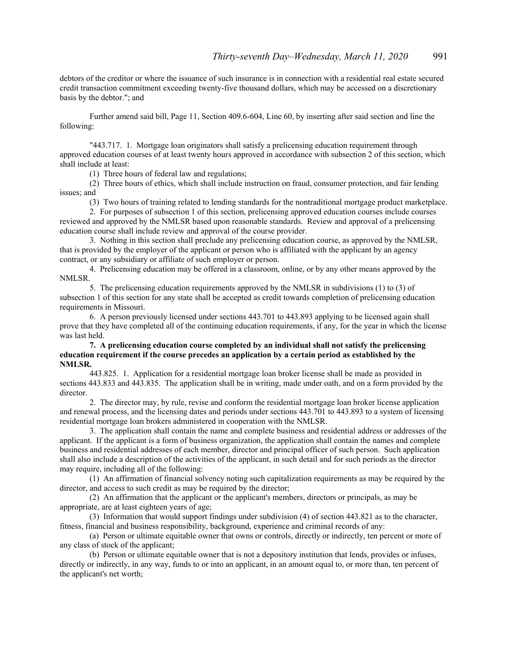debtors of the creditor or where the issuance of such insurance is in connection with a residential real estate secured credit transaction commitment exceeding twenty-five thousand dollars, which may be accessed on a discretionary basis by the debtor."; and

 Further amend said bill, Page 11, Section 409.6-604, Line 60, by inserting after said section and line the following:

 "443.717. 1. Mortgage loan originators shall satisfy a prelicensing education requirement through approved education courses of at least twenty hours approved in accordance with subsection 2 of this section, which shall include at least:

(1) Three hours of federal law and regulations;

 (2) Three hours of ethics, which shall include instruction on fraud, consumer protection, and fair lending issues; and

(3) Two hours of training related to lending standards for the nontraditional mortgage product marketplace.

 2. For purposes of subsection 1 of this section, prelicensing approved education courses include courses reviewed and approved by the NMLSR based upon reasonable standards. Review and approval of a prelicensing education course shall include review and approval of the course provider.

 3. Nothing in this section shall preclude any prelicensing education course, as approved by the NMLSR, that is provided by the employer of the applicant or person who is affiliated with the applicant by an agency contract, or any subsidiary or affiliate of such employer or person.

 4. Prelicensing education may be offered in a classroom, online, or by any other means approved by the NMLSR.

 5. The prelicensing education requirements approved by the NMLSR in subdivisions (1) to (3) of subsection 1 of this section for any state shall be accepted as credit towards completion of prelicensing education requirements in Missouri.

 6. A person previously licensed under sections 443.701 to 443.893 applying to be licensed again shall prove that they have completed all of the continuing education requirements, if any, for the year in which the license was last held.

#### **7. A prelicensing education course completed by an individual shall not satisfy the prelicensing education requirement if the course precedes an application by a certain period as established by the NMLSR.**

 443.825. 1. Application for a residential mortgage loan broker license shall be made as provided in sections 443.833 and 443.835. The application shall be in writing, made under oath, and on a form provided by the director.

 2. The director may, by rule, revise and conform the residential mortgage loan broker license application and renewal process, and the licensing dates and periods under sections 443.701 to 443.893 to a system of licensing residential mortgage loan brokers administered in cooperation with the NMLSR.

 3. The application shall contain the name and complete business and residential address or addresses of the applicant. If the applicant is a form of business organization, the application shall contain the names and complete business and residential addresses of each member, director and principal officer of such person. Such application shall also include a description of the activities of the applicant, in such detail and for such periods as the director may require, including all of the following:

 (1) An affirmation of financial solvency noting such capitalization requirements as may be required by the director, and access to such credit as may be required by the director;

 (2) An affirmation that the applicant or the applicant's members, directors or principals, as may be appropriate, are at least eighteen years of age;

 (3) Information that would support findings under subdivision (4) of section 443.821 as to the character, fitness, financial and business responsibility, background, experience and criminal records of any:

 (a) Person or ultimate equitable owner that owns or controls, directly or indirectly, ten percent or more of any class of stock of the applicant;

 (b) Person or ultimate equitable owner that is not a depository institution that lends, provides or infuses, directly or indirectly, in any way, funds to or into an applicant, in an amount equal to, or more than, ten percent of the applicant's net worth;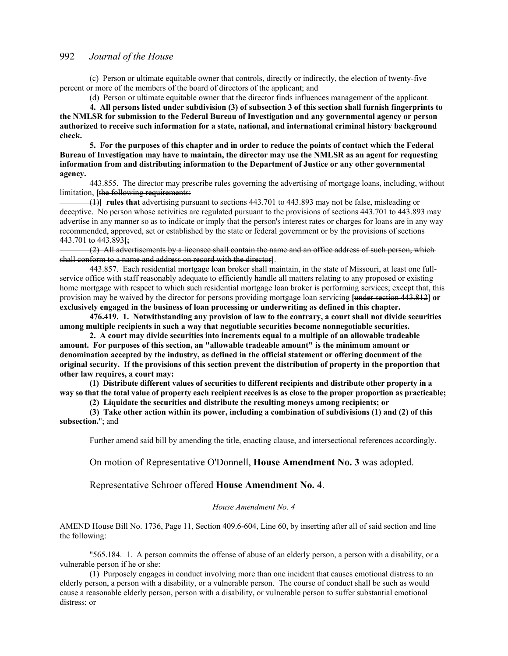(c) Person or ultimate equitable owner that controls, directly or indirectly, the election of twenty-five percent or more of the members of the board of directors of the applicant; and

(d) Person or ultimate equitable owner that the director finds influences management of the applicant.

**4. All persons listed under subdivision (3) of subsection 3 of this section shall furnish fingerprints to the NMLSR for submission to the Federal Bureau of Investigation and any governmental agency or person authorized to receive such information for a state, national, and international criminal history background check.** 

**5. For the purposes of this chapter and in order to reduce the points of contact which the Federal Bureau of Investigation may have to maintain, the director may use the NMLSR as an agent for requesting information from and distributing information to the Department of Justice or any other governmental agency.**

 443.855. The director may prescribe rules governing the advertising of mortgage loans, including, without limitation, [the following requirements:

 (1)**] rules that** advertising pursuant to sections 443.701 to 443.893 may not be false, misleading or deceptive. No person whose activities are regulated pursuant to the provisions of sections 443.701 to 443.893 may advertise in any manner so as to indicate or imply that the person's interest rates or charges for loans are in any way recommended, approved, set or established by the state or federal government or by the provisions of sections 443.701 to 443.893**[**;

 (2) All advertisements by a licensee shall contain the name and an office address of such person, which shall conform to a name and address on record with the director**]**.

 443.857. Each residential mortgage loan broker shall maintain, in the state of Missouri, at least one fullservice office with staff reasonably adequate to efficiently handle all matters relating to any proposed or existing home mortgage with respect to which such residential mortgage loan broker is performing services; except that, this provision may be waived by the director for persons providing mortgage loan servicing **[**under section 443.812**] or exclusively engaged in the business of loan processing or underwriting as defined in this chapter.** 

**476.419. 1. Notwithstanding any provision of law to the contrary, a court shall not divide securities among multiple recipients in such a way that negotiable securities become nonnegotiable securities.** 

**2. A court may divide securities into increments equal to a multiple of an allowable tradeable amount. For purposes of this section, an "allowable tradeable amount" is the minimum amount or denomination accepted by the industry, as defined in the official statement or offering document of the original security. If the provisions of this section prevent the distribution of property in the proportion that other law requires, a court may:** 

**(1) Distribute different values of securities to different recipients and distribute other property in a way so that the total value of property each recipient receives is as close to the proper proportion as practicable;** 

**(2) Liquidate the securities and distribute the resulting moneys among recipients; or** 

**(3) Take other action within its power, including a combination of subdivisions (1) and (2) of this subsection.**"; and

Further amend said bill by amending the title, enacting clause, and intersectional references accordingly.

On motion of Representative O'Donnell, **House Amendment No. 3** was adopted.

Representative Schroer offered **House Amendment No. 4**.

#### *House Amendment No. 4*

AMEND House Bill No. 1736, Page 11, Section 409.6-604, Line 60, by inserting after all of said section and line the following:

 "565.184. 1. A person commits the offense of abuse of an elderly person, a person with a disability, or a vulnerable person if he or she:

 (1) Purposely engages in conduct involving more than one incident that causes emotional distress to an elderly person, a person with a disability, or a vulnerable person. The course of conduct shall be such as would cause a reasonable elderly person, person with a disability, or vulnerable person to suffer substantial emotional distress; or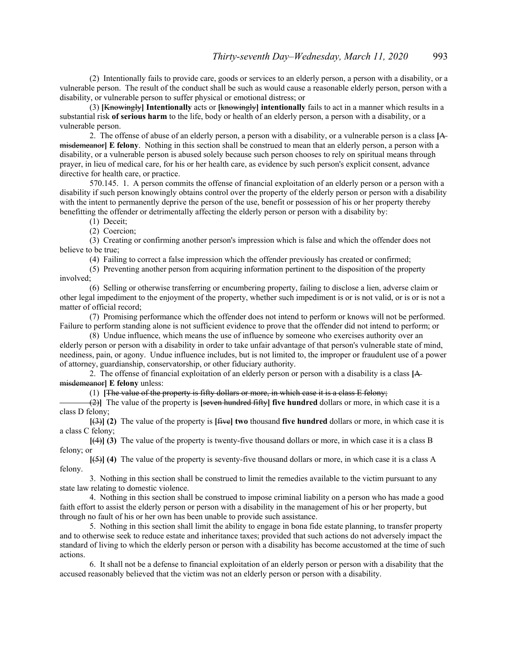(2) Intentionally fails to provide care, goods or services to an elderly person, a person with a disability, or a vulnerable person. The result of the conduct shall be such as would cause a reasonable elderly person, person with a disability, or vulnerable person to suffer physical or emotional distress; or

 (3) **[**Knowingly**] Intentionally** acts or **[**knowingly**] intentionally** fails to act in a manner which results in a substantial risk **of serious harm** to the life, body or health of an elderly person, a person with a disability, or a vulnerable person.

 2. The offense of abuse of an elderly person, a person with a disability, or a vulnerable person is a class **[**A misdemeanor**] E felony**. Nothing in this section shall be construed to mean that an elderly person, a person with a disability, or a vulnerable person is abused solely because such person chooses to rely on spiritual means through prayer, in lieu of medical care, for his or her health care, as evidence by such person's explicit consent, advance directive for health care, or practice.

 570.145. 1. A person commits the offense of financial exploitation of an elderly person or a person with a disability if such person knowingly obtains control over the property of the elderly person or person with a disability with the intent to permanently deprive the person of the use, benefit or possession of his or her property thereby benefitting the offender or detrimentally affecting the elderly person or person with a disability by:

(1) Deceit;

(2) Coercion;

 (3) Creating or confirming another person's impression which is false and which the offender does not believe to be true;

(4) Failing to correct a false impression which the offender previously has created or confirmed;

 (5) Preventing another person from acquiring information pertinent to the disposition of the property involved;

 (6) Selling or otherwise transferring or encumbering property, failing to disclose a lien, adverse claim or other legal impediment to the enjoyment of the property, whether such impediment is or is not valid, or is or is not a matter of official record;

 (7) Promising performance which the offender does not intend to perform or knows will not be performed. Failure to perform standing alone is not sufficient evidence to prove that the offender did not intend to perform; or

 (8) Undue influence, which means the use of influence by someone who exercises authority over an elderly person or person with a disability in order to take unfair advantage of that person's vulnerable state of mind, neediness, pain, or agony. Undue influence includes, but is not limited to, the improper or fraudulent use of a power of attorney, guardianship, conservatorship, or other fiduciary authority.

 2. The offense of financial exploitation of an elderly person or person with a disability is a class **[**A misdemeanor**] E felony** unless:

(1) **[**The value of the property is fifty dollars or more, in which case it is a class E felony;

 (2)**]** The value of the property is **[**seven hundred fifty**] five hundred** dollars or more, in which case it is a class D felony;

**[**(3)**] (2)** The value of the property is **[**five**] two** thousand **five hundred** dollars or more, in which case it is a class C felony;

**[**(4)**] (3)** The value of the property is twenty-five thousand dollars or more, in which case it is a class B felony; or

**[**(5)**] (4)** The value of the property is seventy-five thousand dollars or more, in which case it is a class A felony.

 3. Nothing in this section shall be construed to limit the remedies available to the victim pursuant to any state law relating to domestic violence.

 4. Nothing in this section shall be construed to impose criminal liability on a person who has made a good faith effort to assist the elderly person or person with a disability in the management of his or her property, but through no fault of his or her own has been unable to provide such assistance.

 5. Nothing in this section shall limit the ability to engage in bona fide estate planning, to transfer property and to otherwise seek to reduce estate and inheritance taxes; provided that such actions do not adversely impact the standard of living to which the elderly person or person with a disability has become accustomed at the time of such actions.

 6. It shall not be a defense to financial exploitation of an elderly person or person with a disability that the accused reasonably believed that the victim was not an elderly person or person with a disability.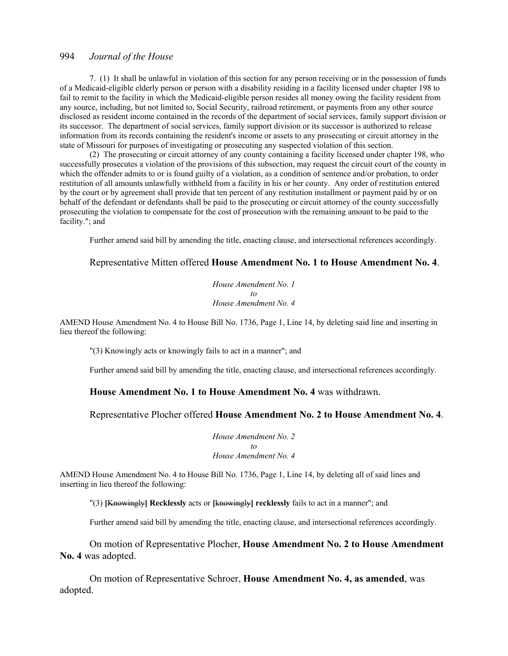7. (1) It shall be unlawful in violation of this section for any person receiving or in the possession of funds of a Medicaid-eligible elderly person or person with a disability residing in a facility licensed under chapter 198 to fail to remit to the facility in which the Medicaid-eligible person resides all money owing the facility resident from any source, including, but not limited to, Social Security, railroad retirement, or payments from any other source disclosed as resident income contained in the records of the department of social services, family support division or its successor. The department of social services, family support division or its successor is authorized to release information from its records containing the resident's income or assets to any prosecuting or circuit attorney in the state of Missouri for purposes of investigating or prosecuting any suspected violation of this section.

 (2) The prosecuting or circuit attorney of any county containing a facility licensed under chapter 198, who successfully prosecutes a violation of the provisions of this subsection, may request the circuit court of the county in which the offender admits to or is found guilty of a violation, as a condition of sentence and/or probation, to order restitution of all amounts unlawfully withheld from a facility in his or her county. Any order of restitution entered by the court or by agreement shall provide that ten percent of any restitution installment or payment paid by or on behalf of the defendant or defendants shall be paid to the prosecuting or circuit attorney of the county successfully prosecuting the violation to compensate for the cost of prosecution with the remaining amount to be paid to the facility."; and

Further amend said bill by amending the title, enacting clause, and intersectional references accordingly.

#### Representative Mitten offered **House Amendment No. 1 to House Amendment No. 4**.

*House Amendment No. 1 to House Amendment No. 4*

AMEND House Amendment No. 4 to House Bill No. 1736, Page 1, Line 14, by deleting said line and inserting in lieu thereof the following:

"(3) Knowingly acts or knowingly fails to act in a manner"; and

Further amend said bill by amending the title, enacting clause, and intersectional references accordingly.

#### **House Amendment No. 1 to House Amendment No. 4** was withdrawn.

#### Representative Plocher offered **House Amendment No. 2 to House Amendment No. 4**.

*House Amendment No. 2 to House Amendment No. 4*

AMEND House Amendment No. 4 to House Bill No. 1736, Page 1, Line 14, by deleting all of said lines and inserting in lieu thereof the following:

"(3) **[**Knowingly**] Recklessly** acts or **[**knowingly**] recklessly** fails to act in a manner"; and

Further amend said bill by amending the title, enacting clause, and intersectional references accordingly.

 On motion of Representative Plocher, **House Amendment No. 2 to House Amendment No. 4** was adopted.

 On motion of Representative Schroer, **House Amendment No. 4, as amended**, was adopted.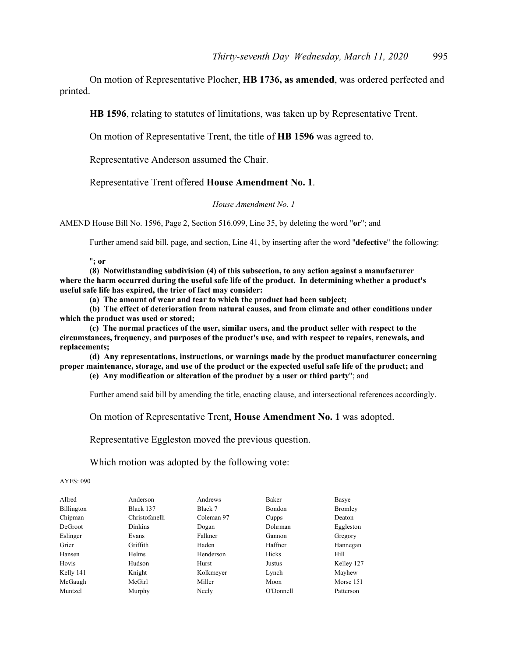On motion of Representative Plocher, **HB 1736, as amended**, was ordered perfected and printed.

**HB 1596**, relating to statutes of limitations, was taken up by Representative Trent.

On motion of Representative Trent, the title of **HB 1596** was agreed to.

Representative Anderson assumed the Chair.

Representative Trent offered **House Amendment No. 1**.

#### *House Amendment No. 1*

AMEND House Bill No. 1596, Page 2, Section 516.099, Line 35, by deleting the word "**or**"; and

Further amend said bill, page, and section, Line 41, by inserting after the word "**defective**" the following:

"**; or** 

**(8) Notwithstanding subdivision (4) of this subsection, to any action against a manufacturer where the harm occurred during the useful safe life of the product. In determining whether a product's useful safe life has expired, the trier of fact may consider:** 

**(a) The amount of wear and tear to which the product had been subject;** 

**(b) The effect of deterioration from natural causes, and from climate and other conditions under which the product was used or stored;** 

**(c) The normal practices of the user, similar users, and the product seller with respect to the circumstances, frequency, and purposes of the product's use, and with respect to repairs, renewals, and replacements;** 

**(d) Any representations, instructions, or warnings made by the product manufacturer concerning proper maintenance, storage, and use of the product or the expected useful safe life of the product; and** 

**(e) Any modification or alteration of the product by a user or third party**"; and

Further amend said bill by amending the title, enacting clause, and intersectional references accordingly.

On motion of Representative Trent, **House Amendment No. 1** was adopted.

Representative Eggleston moved the previous question.

Which motion was adopted by the following vote:

AYES: 090

| Allred     | Anderson       | Andrews    | <b>Baker</b>  | Basye          |
|------------|----------------|------------|---------------|----------------|
| Billington | Black 137      | Black 7    | <b>Bondon</b> | <b>Bromley</b> |
| Chipman    | Christofanelli | Coleman 97 | Cupps         | Deaton         |
| DeGroot    | <b>Dinkins</b> | Dogan      | Dohrman       | Eggleston      |
| Eslinger   | Evans          | Falkner    | Gannon        | Gregory        |
| Grier      | Griffith       | Haden      | Haffner       | Hannegan       |
| Hansen     | Helms          | Henderson  | Hicks         | Hill           |
| Hovis      | Hudson         | Hurst      | Justus        | Kelley 127     |
| Kelly 141  | Knight         | Kolkmeyer  | Lynch         | Mayhew         |
| McGaugh    | McGirl         | Miller     | Moon          | Morse 151      |
| Muntzel    | Murphy         | Neely      | O'Donnell     | Patterson      |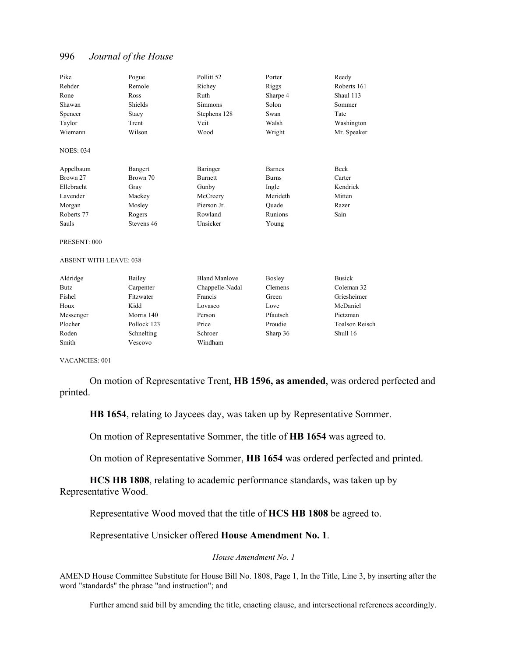| Pike                          | Pogue       | Pollitt <sub>52</sub> | Porter        | Reedy          |
|-------------------------------|-------------|-----------------------|---------------|----------------|
| Rehder                        | Remole      | Richey                | Riggs         | Roberts 161    |
| Rone                          | Ross        | Ruth                  | Sharpe 4      | Shaul 113      |
| Shawan                        | Shields     | <b>Simmons</b>        | Solon         | Sommer         |
| Spencer                       | Stacy       | Stephens 128          | Swan          | Tate           |
| Taylor                        | Trent       | Veit                  | Walsh         | Washington     |
| Wiemann                       | Wilson      | Wood                  | Wright        | Mr. Speaker    |
| <b>NOES: 034</b>              |             |                       |               |                |
| Appelbaum                     | Bangert     | Baringer              | <b>Barnes</b> | <b>Beck</b>    |
| Brown 27                      | Brown 70    | <b>Burnett</b>        | <b>Burns</b>  | Carter         |
| Ellebracht                    | Gray        | Gunby                 | Ingle         | Kendrick       |
| Lavender                      | Mackey      | McCreery              | Merideth      | Mitten         |
| Morgan                        | Mosley      | Pierson Jr.           | Quade         | Razer          |
| Roberts 77                    | Rogers      | Rowland               | Runions       | Sain           |
| Sauls                         | Stevens 46  | Unsicker              | Young         |                |
| PRESENT: 000                  |             |                       |               |                |
| <b>ABSENT WITH LEAVE: 038</b> |             |                       |               |                |
| Aldridge                      | Bailey      | <b>Bland Manlove</b>  | <b>Bosley</b> | <b>Busick</b>  |
| <b>Butz</b>                   | Carpenter   | Chappelle-Nadal       | Clemens       | Coleman 32     |
| Fishel                        | Fitzwater   | Francis               | Green         | Griesheimer    |
| Houx                          | Kidd        | Lovasco               | Love          | McDaniel       |
| Messenger                     | Morris 140  | Person                | Pfautsch      | Pietzman       |
| Plocher                       | Pollock 123 | Price                 | Proudie       | Toalson Reisch |

Roden Schnelting Schroer Sharp 36 Shull 16

VACANCIES: 001

Smith Vescovo Windham

 On motion of Representative Trent, **HB 1596, as amended**, was ordered perfected and printed.

**HB 1654**, relating to Jaycees day, was taken up by Representative Sommer.

On motion of Representative Sommer, the title of **HB 1654** was agreed to.

On motion of Representative Sommer, **HB 1654** was ordered perfected and printed.

**HCS HB 1808**, relating to academic performance standards, was taken up by Representative Wood.

Representative Wood moved that the title of **HCS HB 1808** be agreed to.

Representative Unsicker offered **House Amendment No. 1**.

*House Amendment No. 1*

AMEND House Committee Substitute for House Bill No. 1808, Page 1, In the Title, Line 3, by inserting after the word "standards" the phrase "and instruction"; and

Further amend said bill by amending the title, enacting clause, and intersectional references accordingly.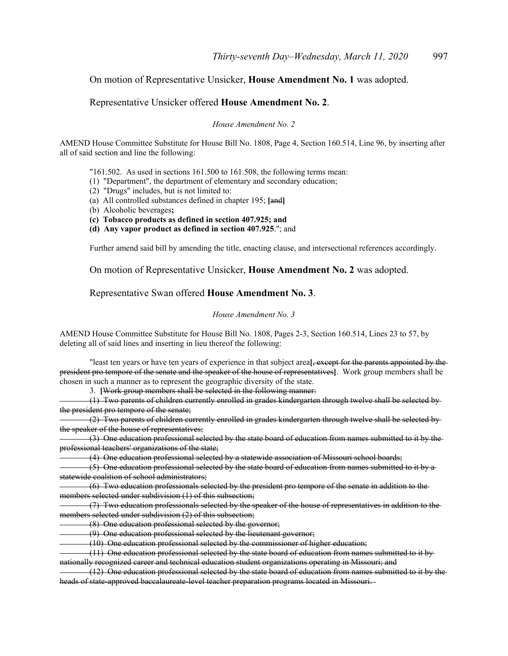# On motion of Representative Unsicker, **House Amendment No. 1** was adopted.

### Representative Unsicker offered **House Amendment No. 2**.

*House Amendment No. 2*

AMEND House Committee Substitute for House Bill No. 1808, Page 4, Section 160.514, Line 96, by inserting after all of said section and line the following:

"161.502. As used in sections 161.500 to 161.508, the following terms mean:

- (1) "Department", the department of elementary and secondary education;
- (2) "Drugs" includes, but is not limited to:
- (a) All controlled substances defined in chapter 195; **[**and**]**
- (b) Alcoholic beverages**;**
- **(c) Tobacco products as defined in section 407.925; and**
- **(d) Any vapor product as defined in section 407.925**."; and

Further amend said bill by amending the title, enacting clause, and intersectional references accordingly.

On motion of Representative Unsicker, **House Amendment No. 2** was adopted.

#### Representative Swan offered **House Amendment No. 3**.

#### *House Amendment No. 3*

AMEND House Committee Substitute for House Bill No. 1808, Pages 2-3, Section 160.514, Lines 23 to 57, by deleting all of said lines and inserting in lieu thereof the following:

"least ten years or have ten years of experience in that subject area**[**, except for the parents appointed by the president pro tempore of the senate and the speaker of the house of representatives**]**. Work group members shall be chosen in such a manner as to represent the geographic diversity of the state.

3. **[**Work group members shall be selected in the following manner:

 (1) Two parents of children currently enrolled in grades kindergarten through twelve shall be selected by the president pro tempore of the senate;

 (2) Two parents of children currently enrolled in grades kindergarten through twelve shall be selected by the speaker of the house of representatives;

 (3) One education professional selected by the state board of education from names submitted to it by the professional teachers' organizations of the state;

(4) One education professional selected by a statewide association of Missouri school boards;

 (5) One education professional selected by the state board of education from names submitted to it by a statewide coalition of school administrators;

 (6) Two education professionals selected by the president pro tempore of the senate in addition to the members selected under subdivision (1) of this subsection;

 (7) Two education professionals selected by the speaker of the house of representatives in addition to the members selected under subdivision (2) of this subsection;

(8) One education professional selected by the governor;

(9) One education professional selected by the lieutenant governor;

(10) One education professional selected by the commissioner of higher education;

 (11) One education professional selected by the state board of education from names submitted to it by nationally recognized career and technical education student organizations operating in Missouri; and

 (12) One education professional selected by the state board of education from names submitted to it by the heads of state-approved baccalaureate-level teacher preparation programs located in Missouri.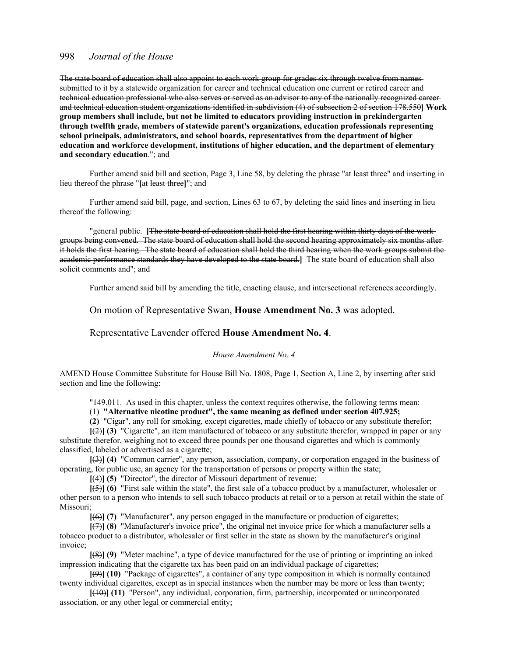The state board of education shall also appoint to each work group for grades six through twelve from names submitted to it by a statewide organization for career and technical education one current or retired career and technical education professional who also serves or served as an advisor to any of the nationally recognized career and technical education student organizations identified in subdivision (4) of subsection 2 of section 178.550**] Work group members shall include, but not be limited to educators providing instruction in prekindergarten through twelfth grade, members of statewide parent's organizations, education professionals representing school principals, administrators, and school boards, representatives from the department of higher education and workforce development, institutions of higher education, and the department of elementary and secondary education**."; and

 Further amend said bill and section, Page 3, Line 58, by deleting the phrase "at least three" and inserting in lieu thereof the phrase "**[**at least three**]**"; and

 Further amend said bill, page, and section, Lines 63 to 67, by deleting the said lines and inserting in lieu thereof the following:

"general public. **[**The state board of education shall hold the first hearing within thirty days of the work groups being convened. The state board of education shall hold the second hearing approximately six months after it holds the first hearing. The state board of education shall hold the third hearing when the work groups submit the academic performance standards they have developed to the state board.**]** The state board of education shall also solicit comments and"; and

Further amend said bill by amending the title, enacting clause, and intersectional references accordingly.

#### On motion of Representative Swan, **House Amendment No. 3** was adopted.

#### Representative Lavender offered **House Amendment No. 4**.

#### *House Amendment No. 4*

AMEND House Committee Substitute for House Bill No. 1808, Page 1, Section A, Line 2, by inserting after said section and line the following:

"149.011. As used in this chapter, unless the context requires otherwise, the following terms mean:

#### (1) **"Alternative nicotine product", the same meaning as defined under section 407.925;**

**(2)** "Cigar", any roll for smoking, except cigarettes, made chiefly of tobacco or any substitute therefor; **[**(2)**] (3)** "Cigarette", an item manufactured of tobacco or any substitute therefor, wrapped in paper or any substitute therefor, weighing not to exceed three pounds per one thousand cigarettes and which is commonly classified, labeled or advertised as a cigarette;

**[**(3)**] (4)** "Common carrier", any person, association, company, or corporation engaged in the business of operating, for public use, an agency for the transportation of persons or property within the state;

**[**(4)**] (5)** "Director", the director of Missouri department of revenue;

**[**(5)**] (6)** "First sale within the state", the first sale of a tobacco product by a manufacturer, wholesaler or other person to a person who intends to sell such tobacco products at retail or to a person at retail within the state of Missouri;

**[**(6)**] (7)** "Manufacturer", any person engaged in the manufacture or production of cigarettes;

**[**(7)**] (8)** "Manufacturer's invoice price", the original net invoice price for which a manufacturer sells a tobacco product to a distributor, wholesaler or first seller in the state as shown by the manufacturer's original invoice;

**[**(8)**] (9)** "Meter machine", a type of device manufactured for the use of printing or imprinting an inked impression indicating that the cigarette tax has been paid on an individual package of cigarettes;

**[**(9)**] (10)** "Package of cigarettes", a container of any type composition in which is normally contained twenty individual cigarettes, except as in special instances when the number may be more or less than twenty;

**[**(10)**] (11)** "Person", any individual, corporation, firm, partnership, incorporated or unincorporated association, or any other legal or commercial entity;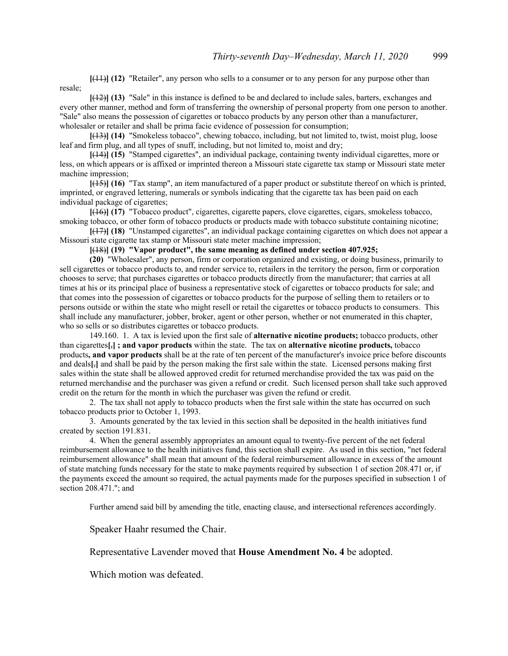**[**(11)**] (12)** "Retailer", any person who sells to a consumer or to any person for any purpose other than resale;

**[**(12)**] (13)** "Sale" in this instance is defined to be and declared to include sales, barters, exchanges and every other manner, method and form of transferring the ownership of personal property from one person to another. "Sale" also means the possession of cigarettes or tobacco products by any person other than a manufacturer, wholesaler or retailer and shall be prima facie evidence of possession for consumption;

**[**(13)**] (14)** "Smokeless tobacco", chewing tobacco, including, but not limited to, twist, moist plug, loose leaf and firm plug, and all types of snuff, including, but not limited to, moist and dry;

**[**(14)**] (15)** "Stamped cigarettes", an individual package, containing twenty individual cigarettes, more or less, on which appears or is affixed or imprinted thereon a Missouri state cigarette tax stamp or Missouri state meter machine impression;

**[**(15)**] (16)** "Tax stamp", an item manufactured of a paper product or substitute thereof on which is printed, imprinted, or engraved lettering, numerals or symbols indicating that the cigarette tax has been paid on each individual package of cigarettes;

**[**(16)**] (17)** "Tobacco product", cigarettes, cigarette papers, clove cigarettes, cigars, smokeless tobacco, smoking tobacco, or other form of tobacco products or products made with tobacco substitute containing nicotine;

**[**(17)**] (18)** "Unstamped cigarettes", an individual package containing cigarettes on which does not appear a Missouri state cigarette tax stamp or Missouri state meter machine impression;

**[**(18)**] (19) "Vapor product", the same meaning as defined under section 407.925;** 

**(20)** "Wholesaler", any person, firm or corporation organized and existing, or doing business, primarily to sell cigarettes or tobacco products to, and render service to, retailers in the territory the person, firm or corporation chooses to serve; that purchases cigarettes or tobacco products directly from the manufacturer; that carries at all times at his or its principal place of business a representative stock of cigarettes or tobacco products for sale; and that comes into the possession of cigarettes or tobacco products for the purpose of selling them to retailers or to persons outside or within the state who might resell or retail the cigarettes or tobacco products to consumers. This shall include any manufacturer, jobber, broker, agent or other person, whether or not enumerated in this chapter, who so sells or so distributes cigarettes or tobacco products.

 149.160. 1. A tax is levied upon the first sale of **alternative nicotine products;** tobacco products, other than cigarettes**[**,**] ; and vapor products** within the state. The tax on **alternative nicotine products,** tobacco products**, and vapor products** shall be at the rate of ten percent of the manufacturer's invoice price before discounts and deals**[**,**]** and shall be paid by the person making the first sale within the state. Licensed persons making first sales within the state shall be allowed approved credit for returned merchandise provided the tax was paid on the returned merchandise and the purchaser was given a refund or credit. Such licensed person shall take such approved credit on the return for the month in which the purchaser was given the refund or credit.

 2. The tax shall not apply to tobacco products when the first sale within the state has occurred on such tobacco products prior to October 1, 1993.

 3. Amounts generated by the tax levied in this section shall be deposited in the health initiatives fund created by section 191.831.

 4. When the general assembly appropriates an amount equal to twenty-five percent of the net federal reimbursement allowance to the health initiatives fund, this section shall expire. As used in this section, "net federal reimbursement allowance" shall mean that amount of the federal reimbursement allowance in excess of the amount of state matching funds necessary for the state to make payments required by subsection 1 of section 208.471 or, if the payments exceed the amount so required, the actual payments made for the purposes specified in subsection 1 of section 208.471."; and

Further amend said bill by amending the title, enacting clause, and intersectional references accordingly.

Speaker Haahr resumed the Chair.

#### Representative Lavender moved that **House Amendment No. 4** be adopted.

Which motion was defeated.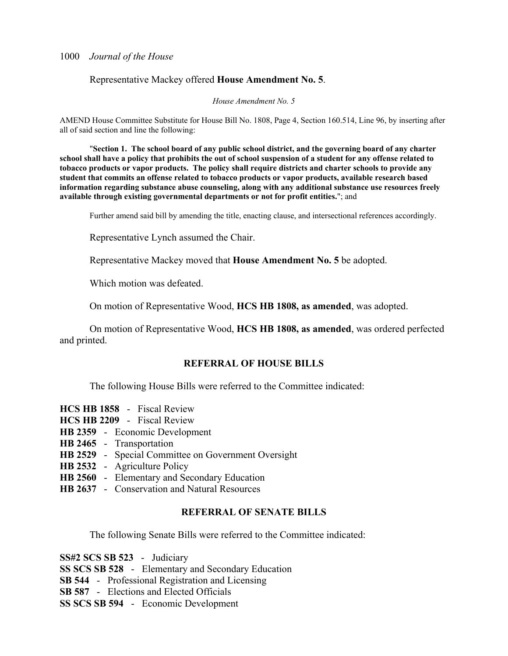# Representative Mackey offered **House Amendment No. 5**.

*House Amendment No. 5*

AMEND House Committee Substitute for House Bill No. 1808, Page 4, Section 160.514, Line 96, by inserting after all of said section and line the following:

 "**Section 1. The school board of any public school district, and the governing board of any charter school shall have a policy that prohibits the out of school suspension of a student for any offense related to tobacco products or vapor products. The policy shall require districts and charter schools to provide any student that commits an offense related to tobacco products or vapor products, available research based information regarding substance abuse counseling, along with any additional substance use resources freely available through existing governmental departments or not for profit entities.**"; and

Further amend said bill by amending the title, enacting clause, and intersectional references accordingly.

Representative Lynch assumed the Chair.

Representative Mackey moved that **House Amendment No. 5** be adopted.

Which motion was defeated.

On motion of Representative Wood, **HCS HB 1808, as amended**, was adopted.

 On motion of Representative Wood, **HCS HB 1808, as amended**, was ordered perfected and printed.

# **REFERRAL OF HOUSE BILLS**

The following House Bills were referred to the Committee indicated:

- **HCS HB 1858** Fiscal Review
- **HCS HB 2209** Fiscal Review
- **HB 2359** Economic Development
- **HB 2465** Transportation
- **HB 2529** Special Committee on Government Oversight
- **HB 2532** Agriculture Policy
- **HB 2560** Elementary and Secondary Education
- **HB 2637** Conservation and Natural Resources

# **REFERRAL OF SENATE BILLS**

The following Senate Bills were referred to the Committee indicated:

**SS#2 SCS SB 523** - Judiciary **SS SCS SB 528** - Elementary and Secondary Education **SB 544** - Professional Registration and Licensing **SB 587** - Elections and Elected Officials **SS SCS SB 594** - Economic Development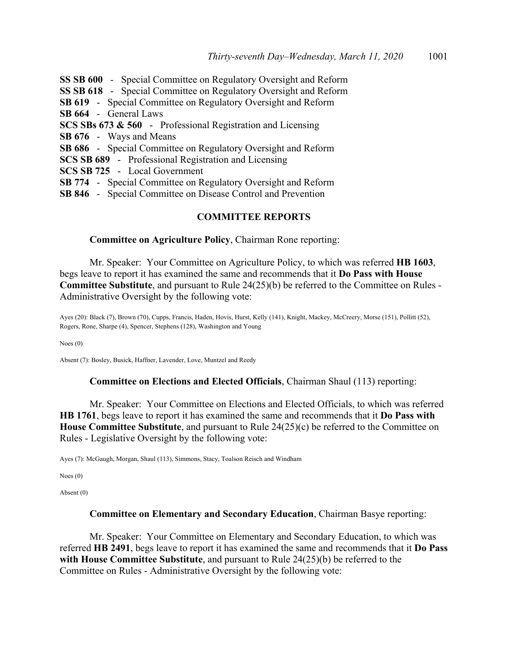**SS SB 600** - Special Committee on Regulatory Oversight and Reform **SS SB 618** - Special Committee on Regulatory Oversight and Reform **SB 619** - Special Committee on Regulatory Oversight and Reform **SB 664** - General Laws **SCS SBs 673 & 560** - Professional Registration and Licensing **SB 676** - Ways and Means **SB 686** - Special Committee on Regulatory Oversight and Reform **SCS SB 689** - Professional Registration and Licensing **SCS SB 725** - Local Government **SB 774** - Special Committee on Regulatory Oversight and Reform **SB 846** - Special Committee on Disease Control and Prevention

# **COMMITTEE REPORTS**

### **Committee on Agriculture Policy**, Chairman Rone reporting:

 Mr. Speaker: Your Committee on Agriculture Policy, to which was referred **HB 1603**, begs leave to report it has examined the same and recommends that it **Do Pass with House Committee Substitute**, and pursuant to Rule 24(25)(b) be referred to the Committee on Rules - Administrative Oversight by the following vote:

Ayes (20): Black (7), Brown (70), Cupps, Francis, Haden, Hovis, Hurst, Kelly (141), Knight, Mackey, McCreery, Morse (151), Pollitt (52), Rogers, Rone, Sharpe (4), Spencer, Stephens (128), Washington and Young

Noes (0)

Absent (7): Bosley, Busick, Haffner, Lavender, Love, Muntzel and Reedy

#### **Committee on Elections and Elected Officials**, Chairman Shaul (113) reporting:

 Mr. Speaker: Your Committee on Elections and Elected Officials, to which was referred **HB 1761**, begs leave to report it has examined the same and recommends that it **Do Pass with House Committee Substitute**, and pursuant to Rule 24(25)(c) be referred to the Committee on Rules - Legislative Oversight by the following vote:

Ayes (7): McGaugh, Morgan, Shaul (113), Simmons, Stacy, Toalson Reisch and Windham

Noes (0)

Absent (0)

#### **Committee on Elementary and Secondary Education**, Chairman Basye reporting:

 Mr. Speaker: Your Committee on Elementary and Secondary Education, to which was referred **HB 2491**, begs leave to report it has examined the same and recommends that it **Do Pass with House Committee Substitute**, and pursuant to Rule 24(25)(b) be referred to the Committee on Rules - Administrative Oversight by the following vote: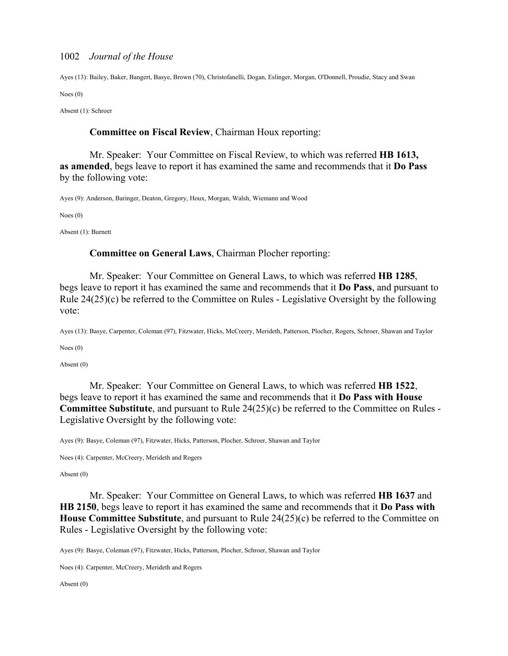Ayes (13): Bailey, Baker, Bangert, Basye, Brown (70), Christofanelli, Dogan, Eslinger, Morgan, O'Donnell, Proudie, Stacy and Swan

Noes (0)

Absent (1): Schroer

## **Committee on Fiscal Review**, Chairman Houx reporting:

 Mr. Speaker: Your Committee on Fiscal Review, to which was referred **HB 1613, as amended**, begs leave to report it has examined the same and recommends that it **Do Pass** by the following vote:

Ayes (9): Anderson, Baringer, Deaton, Gregory, Houx, Morgan, Walsh, Wiemann and Wood

Noes (0)

Absent (1): Burnett

### **Committee on General Laws**, Chairman Plocher reporting:

 Mr. Speaker: Your Committee on General Laws, to which was referred **HB 1285**, begs leave to report it has examined the same and recommends that it **Do Pass**, and pursuant to Rule 24(25)(c) be referred to the Committee on Rules - Legislative Oversight by the following vote:

Ayes (13): Basye, Carpenter, Coleman (97), Fitzwater, Hicks, McCreery, Merideth, Patterson, Plocher, Rogers, Schroer, Shawan and Taylor

Noes (0)

Absent (0)

 Mr. Speaker: Your Committee on General Laws, to which was referred **HB 1522**, begs leave to report it has examined the same and recommends that it **Do Pass with House Committee Substitute**, and pursuant to Rule 24(25)(c) be referred to the Committee on Rules - Legislative Oversight by the following vote:

Ayes (9): Basye, Coleman (97), Fitzwater, Hicks, Patterson, Plocher, Schroer, Shawan and Taylor

Noes (4): Carpenter, McCreery, Merideth and Rogers

#### Absent (0)

 Mr. Speaker: Your Committee on General Laws, to which was referred **HB 1637** and **HB 2150**, begs leave to report it has examined the same and recommends that it **Do Pass with House Committee Substitute**, and pursuant to Rule 24(25)(c) be referred to the Committee on Rules - Legislative Oversight by the following vote:

Ayes (9): Basye, Coleman (97), Fitzwater, Hicks, Patterson, Plocher, Schroer, Shawan and Taylor

Noes (4): Carpenter, McCreery, Merideth and Rogers

Absent (0)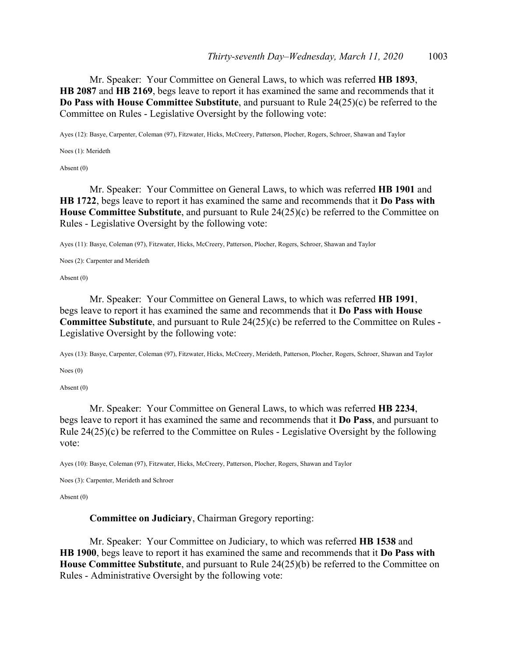Mr. Speaker: Your Committee on General Laws, to which was referred **HB 1893**, **HB 2087** and **HB 2169**, begs leave to report it has examined the same and recommends that it **Do Pass with House Committee Substitute**, and pursuant to Rule 24(25)(c) be referred to the Committee on Rules - Legislative Oversight by the following vote:

Ayes (12): Basye, Carpenter, Coleman (97), Fitzwater, Hicks, McCreery, Patterson, Plocher, Rogers, Schroer, Shawan and Taylor

Noes (1): Merideth

Absent (0)

 Mr. Speaker: Your Committee on General Laws, to which was referred **HB 1901** and **HB 1722**, begs leave to report it has examined the same and recommends that it **Do Pass with House Committee Substitute**, and pursuant to Rule 24(25)(c) be referred to the Committee on Rules - Legislative Oversight by the following vote:

Ayes (11): Basye, Coleman (97), Fitzwater, Hicks, McCreery, Patterson, Plocher, Rogers, Schroer, Shawan and Taylor

Noes (2): Carpenter and Merideth

Absent (0)

 Mr. Speaker: Your Committee on General Laws, to which was referred **HB 1991**, begs leave to report it has examined the same and recommends that it **Do Pass with House Committee Substitute**, and pursuant to Rule 24(25)(c) be referred to the Committee on Rules - Legislative Oversight by the following vote:

Ayes (13): Basye, Carpenter, Coleman (97), Fitzwater, Hicks, McCreery, Merideth, Patterson, Plocher, Rogers, Schroer, Shawan and Taylor

Noes (0)

Absent (0)

 Mr. Speaker: Your Committee on General Laws, to which was referred **HB 2234**, begs leave to report it has examined the same and recommends that it **Do Pass**, and pursuant to Rule 24(25)(c) be referred to the Committee on Rules - Legislative Oversight by the following vote:

Ayes (10): Basye, Coleman (97), Fitzwater, Hicks, McCreery, Patterson, Plocher, Rogers, Shawan and Taylor

Noes (3): Carpenter, Merideth and Schroer

Absent (0)

**Committee on Judiciary**, Chairman Gregory reporting:

 Mr. Speaker: Your Committee on Judiciary, to which was referred **HB 1538** and **HB 1900**, begs leave to report it has examined the same and recommends that it **Do Pass with House Committee Substitute**, and pursuant to Rule 24(25)(b) be referred to the Committee on Rules - Administrative Oversight by the following vote: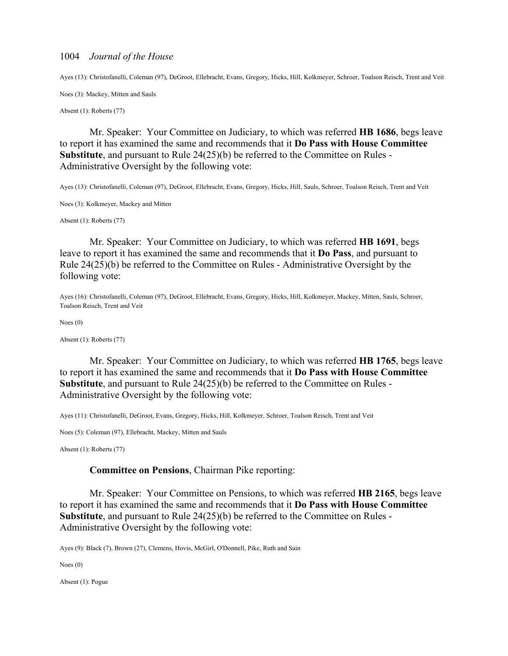Ayes (13): Christofanelli, Coleman (97), DeGroot, Ellebracht, Evans, Gregory, Hicks, Hill, Kolkmeyer, Schroer, Toalson Reisch, Trent and Veit

Noes (3): Mackey, Mitten and Sauls

Absent (1): Roberts (77)

 Mr. Speaker: Your Committee on Judiciary, to which was referred **HB 1686**, begs leave to report it has examined the same and recommends that it **Do Pass with House Committee Substitute**, and pursuant to Rule 24(25)(b) be referred to the Committee on Rules - Administrative Oversight by the following vote:

Ayes (13): Christofanelli, Coleman (97), DeGroot, Ellebracht, Evans, Gregory, Hicks, Hill, Sauls, Schroer, Toalson Reisch, Trent and Veit

Noes (3): Kolkmeyer, Mackey and Mitten

Absent (1): Roberts (77)

 Mr. Speaker: Your Committee on Judiciary, to which was referred **HB 1691**, begs leave to report it has examined the same and recommends that it **Do Pass**, and pursuant to Rule 24(25)(b) be referred to the Committee on Rules - Administrative Oversight by the following vote:

Ayes (16): Christofanelli, Coleman (97), DeGroot, Ellebracht, Evans, Gregory, Hicks, Hill, Kolkmeyer, Mackey, Mitten, Sauls, Schroer, Toalson Reisch, Trent and Veit

Noes (0)

Absent (1): Roberts (77)

 Mr. Speaker: Your Committee on Judiciary, to which was referred **HB 1765**, begs leave to report it has examined the same and recommends that it **Do Pass with House Committee Substitute**, and pursuant to Rule 24(25)(b) be referred to the Committee on Rules - Administrative Oversight by the following vote:

Ayes (11): Christofanelli, DeGroot, Evans, Gregory, Hicks, Hill, Kolkmeyer, Schroer, Toalson Reisch, Trent and Veit

Noes (5): Coleman (97), Ellebracht, Mackey, Mitten and Sauls

Absent (1): Roberts (77)

## **Committee on Pensions**, Chairman Pike reporting:

 Mr. Speaker: Your Committee on Pensions, to which was referred **HB 2165**, begs leave to report it has examined the same and recommends that it **Do Pass with House Committee Substitute**, and pursuant to Rule 24(25)(b) be referred to the Committee on Rules - Administrative Oversight by the following vote:

Ayes (9): Black (7), Brown (27), Clemens, Hovis, McGirl, O'Donnell, Pike, Ruth and Sain

Noes (0)

Absent (1): Pogue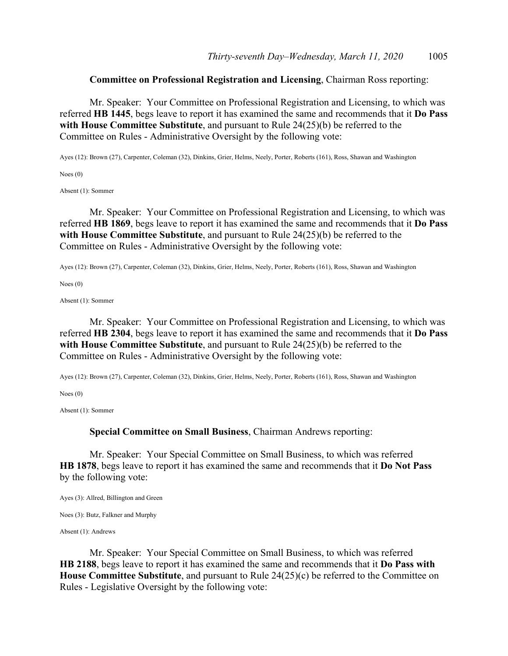# **Committee on Professional Registration and Licensing**, Chairman Ross reporting:

 Mr. Speaker: Your Committee on Professional Registration and Licensing, to which was referred **HB 1445**, begs leave to report it has examined the same and recommends that it **Do Pass with House Committee Substitute**, and pursuant to Rule 24(25)(b) be referred to the Committee on Rules - Administrative Oversight by the following vote:

Ayes (12): Brown (27), Carpenter, Coleman (32), Dinkins, Grier, Helms, Neely, Porter, Roberts (161), Ross, Shawan and Washington

Noes (0)

Absent (1): Sommer

 Mr. Speaker: Your Committee on Professional Registration and Licensing, to which was referred **HB 1869**, begs leave to report it has examined the same and recommends that it **Do Pass with House Committee Substitute**, and pursuant to Rule 24(25)(b) be referred to the Committee on Rules - Administrative Oversight by the following vote:

Ayes (12): Brown (27), Carpenter, Coleman (32), Dinkins, Grier, Helms, Neely, Porter, Roberts (161), Ross, Shawan and Washington

Noes (0)

Absent (1): Sommer

 Mr. Speaker: Your Committee on Professional Registration and Licensing, to which was referred **HB 2304**, begs leave to report it has examined the same and recommends that it **Do Pass with House Committee Substitute**, and pursuant to Rule 24(25)(b) be referred to the Committee on Rules - Administrative Oversight by the following vote:

Ayes (12): Brown (27), Carpenter, Coleman (32), Dinkins, Grier, Helms, Neely, Porter, Roberts (161), Ross, Shawan and Washington

Noes (0)

Absent (1): Sommer

**Special Committee on Small Business**, Chairman Andrews reporting:

 Mr. Speaker: Your Special Committee on Small Business, to which was referred **HB 1878**, begs leave to report it has examined the same and recommends that it **Do Not Pass** by the following vote:

Ayes (3): Allred, Billington and Green

Noes (3): Butz, Falkner and Murphy

Absent (1): Andrews

 Mr. Speaker: Your Special Committee on Small Business, to which was referred **HB 2188**, begs leave to report it has examined the same and recommends that it **Do Pass with House Committee Substitute**, and pursuant to Rule 24(25)(c) be referred to the Committee on Rules - Legislative Oversight by the following vote: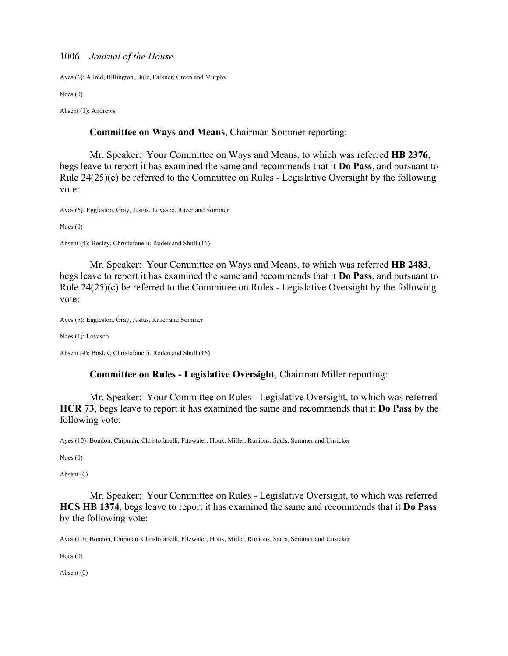Ayes (6): Allred, Billington, Butz, Falkner, Green and Murphy

Noes (0)

Absent (1): Andrews

## **Committee on Ways and Means**, Chairman Sommer reporting:

 Mr. Speaker: Your Committee on Ways and Means, to which was referred **HB 2376**, begs leave to report it has examined the same and recommends that it **Do Pass**, and pursuant to Rule 24(25)(c) be referred to the Committee on Rules - Legislative Oversight by the following vote:

Ayes (6): Eggleston, Gray, Justus, Lovasco, Razer and Sommer

Noes (0)

Absent (4): Bosley, Christofanelli, Roden and Shull (16)

 Mr. Speaker: Your Committee on Ways and Means, to which was referred **HB 2483**, begs leave to report it has examined the same and recommends that it **Do Pass**, and pursuant to Rule 24(25)(c) be referred to the Committee on Rules - Legislative Oversight by the following vote:

Ayes (5): Eggleston, Gray, Justus, Razer and Sommer

Noes (1): Lovasco

Absent (4): Bosley, Christofanelli, Roden and Shull (16)

# **Committee on Rules - Legislative Oversight**, Chairman Miller reporting:

 Mr. Speaker: Your Committee on Rules - Legislative Oversight, to which was referred **HCR 73**, begs leave to report it has examined the same and recommends that it **Do Pass** by the following vote:

Ayes (10): Bondon, Chipman, Christofanelli, Fitzwater, Houx, Miller, Runions, Sauls, Sommer and Unsicker

Noes (0)

Absent (0)

 Mr. Speaker: Your Committee on Rules - Legislative Oversight, to which was referred **HCS HB 1374**, begs leave to report it has examined the same and recommends that it **Do Pass** by the following vote:

Ayes (10): Bondon, Chipman, Christofanelli, Fitzwater, Houx, Miller, Runions, Sauls, Sommer and Unsicker

Noes (0)

Absent (0)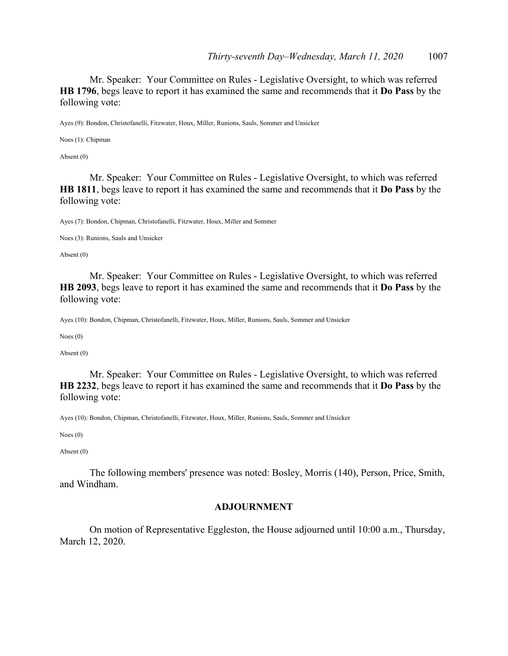Mr. Speaker: Your Committee on Rules - Legislative Oversight, to which was referred **HB 1796**, begs leave to report it has examined the same and recommends that it **Do Pass** by the following vote:

Ayes (9): Bondon, Christofanelli, Fitzwater, Houx, Miller, Runions, Sauls, Sommer and Unsicker

Noes (1): Chipman

Absent (0)

 Mr. Speaker: Your Committee on Rules - Legislative Oversight, to which was referred **HB 1811**, begs leave to report it has examined the same and recommends that it **Do Pass** by the following vote:

Ayes (7): Bondon, Chipman, Christofanelli, Fitzwater, Houx, Miller and Sommer

Noes (3): Runions, Sauls and Unsicker

Absent (0)

 Mr. Speaker: Your Committee on Rules - Legislative Oversight, to which was referred **HB 2093**, begs leave to report it has examined the same and recommends that it **Do Pass** by the following vote:

Ayes (10): Bondon, Chipman, Christofanelli, Fitzwater, Houx, Miller, Runions, Sauls, Sommer and Unsicker

Noes (0)

Absent (0)

 Mr. Speaker: Your Committee on Rules - Legislative Oversight, to which was referred **HB 2232**, begs leave to report it has examined the same and recommends that it **Do Pass** by the following vote:

Ayes (10): Bondon, Chipman, Christofanelli, Fitzwater, Houx, Miller, Runions, Sauls, Sommer and Unsicker

Noes (0)

Absent (0)

 The following members' presence was noted: Bosley, Morris (140), Person, Price, Smith, and Windham.

# **ADJOURNMENT**

 On motion of Representative Eggleston, the House adjourned until 10:00 a.m., Thursday, March 12, 2020.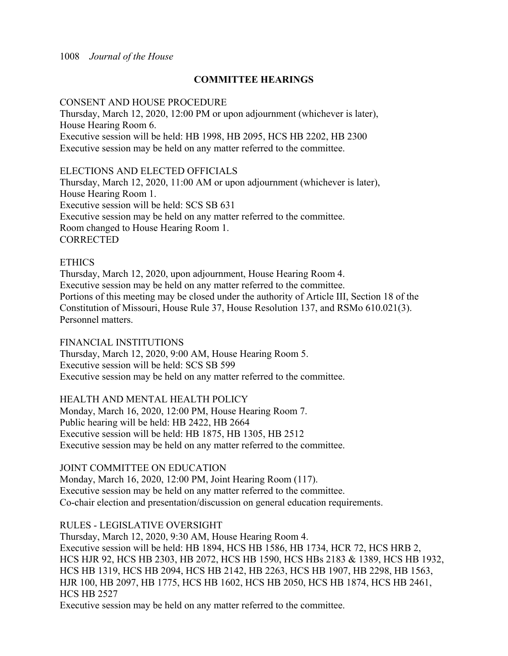# **COMMITTEE HEARINGS**

# CONSENT AND HOUSE PROCEDURE

Thursday, March 12, 2020, 12:00 PM or upon adjournment (whichever is later), House Hearing Room 6. Executive session will be held: HB 1998, HB 2095, HCS HB 2202, HB 2300 Executive session may be held on any matter referred to the committee.

# ELECTIONS AND ELECTED OFFICIALS

Thursday, March 12, 2020, 11:00 AM or upon adjournment (whichever is later), House Hearing Room 1. Executive session will be held: SCS SB 631 Executive session may be held on any matter referred to the committee. Room changed to House Hearing Room 1. **CORRECTED** 

# **ETHICS**

Thursday, March 12, 2020, upon adjournment, House Hearing Room 4. Executive session may be held on any matter referred to the committee. Portions of this meeting may be closed under the authority of Article III, Section 18 of the Constitution of Missouri, House Rule 37, House Resolution 137, and RSMo 610.021(3). Personnel matters.

FINANCIAL INSTITUTIONS Thursday, March 12, 2020, 9:00 AM, House Hearing Room 5. Executive session will be held: SCS SB 599 Executive session may be held on any matter referred to the committee.

HEALTH AND MENTAL HEALTH POLICY Monday, March 16, 2020, 12:00 PM, House Hearing Room 7. Public hearing will be held: HB 2422, HB 2664 Executive session will be held: HB 1875, HB 1305, HB 2512 Executive session may be held on any matter referred to the committee.

# JOINT COMMITTEE ON EDUCATION

Monday, March 16, 2020, 12:00 PM, Joint Hearing Room (117). Executive session may be held on any matter referred to the committee. Co-chair election and presentation/discussion on general education requirements.

# RULES - LEGISLATIVE OVERSIGHT

Thursday, March 12, 2020, 9:30 AM, House Hearing Room 4. Executive session will be held: HB 1894, HCS HB 1586, HB 1734, HCR 72, HCS HRB 2, HCS HJR 92, HCS HB 2303, HB 2072, HCS HB 1590, HCS HBs 2183 & 1389, HCS HB 1932, HCS HB 1319, HCS HB 2094, HCS HB 2142, HB 2263, HCS HB 1907, HB 2298, HB 1563, HJR 100, HB 2097, HB 1775, HCS HB 1602, HCS HB 2050, HCS HB 1874, HCS HB 2461, HCS HB 2527

Executive session may be held on any matter referred to the committee.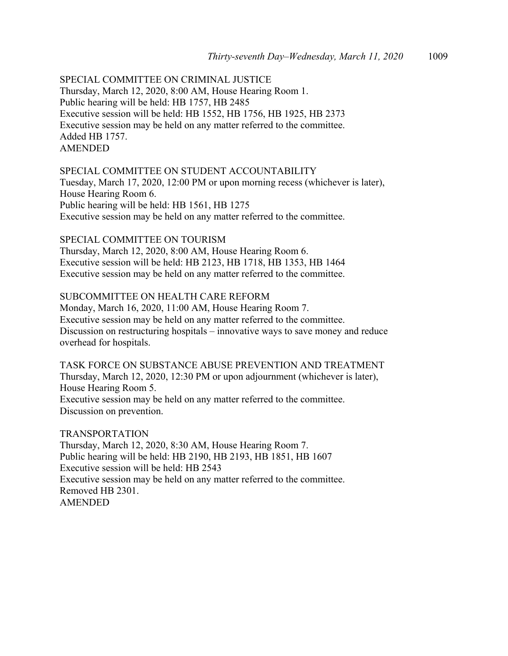SPECIAL COMMITTEE ON CRIMINAL JUSTICE Thursday, March 12, 2020, 8:00 AM, House Hearing Room 1. Public hearing will be held: HB 1757, HB 2485 Executive session will be held: HB 1552, HB 1756, HB 1925, HB 2373 Executive session may be held on any matter referred to the committee. Added HB 1757. AMENDED

## SPECIAL COMMITTEE ON STUDENT ACCOUNTABILITY

Tuesday, March 17, 2020, 12:00 PM or upon morning recess (whichever is later), House Hearing Room 6. Public hearing will be held: HB 1561, HB 1275 Executive session may be held on any matter referred to the committee.

# SPECIAL COMMITTEE ON TOURISM

Thursday, March 12, 2020, 8:00 AM, House Hearing Room 6. Executive session will be held: HB 2123, HB 1718, HB 1353, HB 1464 Executive session may be held on any matter referred to the committee.

# SUBCOMMITTEE ON HEALTH CARE REFORM

Monday, March 16, 2020, 11:00 AM, House Hearing Room 7. Executive session may be held on any matter referred to the committee. Discussion on restructuring hospitals – innovative ways to save money and reduce overhead for hospitals.

TASK FORCE ON SUBSTANCE ABUSE PREVENTION AND TREATMENT Thursday, March 12, 2020, 12:30 PM or upon adjournment (whichever is later), House Hearing Room 5. Executive session may be held on any matter referred to the committee. Discussion on prevention.

TRANSPORTATION Thursday, March 12, 2020, 8:30 AM, House Hearing Room 7. Public hearing will be held: HB 2190, HB 2193, HB 1851, HB 1607 Executive session will be held: HB 2543 Executive session may be held on any matter referred to the committee. Removed HB 2301. AMENDED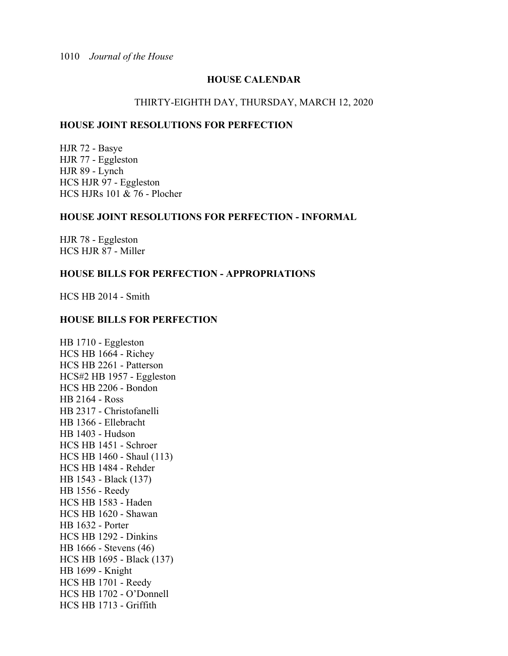# **HOUSE CALENDAR**

# THIRTY-EIGHTH DAY, THURSDAY, MARCH 12, 2020

# **HOUSE JOINT RESOLUTIONS FOR PERFECTION**

HJR 72 - Basye HJR 77 - Eggleston HJR 89 - Lynch HCS HJR 97 - Eggleston HCS HJRs 101 & 76 - Plocher

# **HOUSE JOINT RESOLUTIONS FOR PERFECTION - INFORMAL**

HJR 78 - Eggleston HCS HJR 87 - Miller

# **HOUSE BILLS FOR PERFECTION - APPROPRIATIONS**

HCS HB 2014 - Smith

# **HOUSE BILLS FOR PERFECTION**

HB 1710 - Eggleston HCS HB 1664 - Richey HCS HB 2261 - Patterson HCS#2 HB 1957 - Eggleston HCS HB 2206 - Bondon HB 2164 - Ross HB 2317 - Christofanelli HB 1366 - Ellebracht HB 1403 - Hudson HCS HB 1451 - Schroer HCS HB 1460 - Shaul (113) HCS HB 1484 - Rehder HB 1543 - Black (137) HB 1556 - Reedy HCS HB 1583 - Haden HCS HB 1620 - Shawan HB 1632 - Porter HCS HB 1292 - Dinkins HB 1666 - Stevens (46) HCS HB 1695 - Black (137) HB 1699 - Knight HCS HB 1701 - Reedy HCS HB 1702 - O'Donnell HCS HB 1713 - Griffith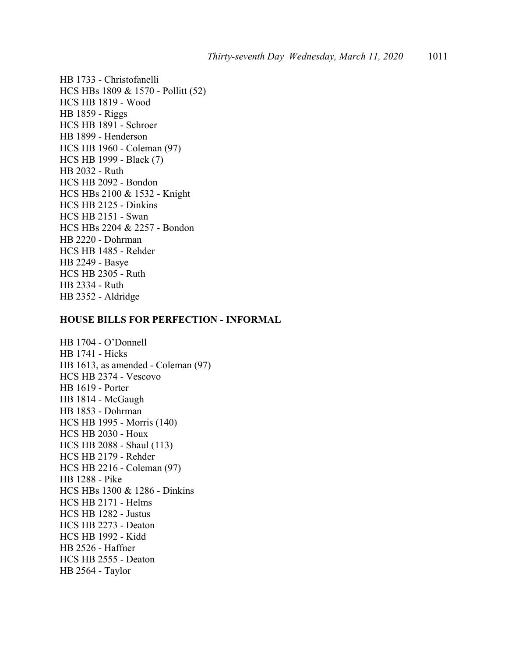HB 1733 - Christofanelli HCS HBs 1809 & 1570 - Pollitt (52) HCS HB 1819 - Wood HB 1859 - Riggs HCS HB 1891 - Schroer HB 1899 - Henderson HCS HB 1960 - Coleman (97) HCS HB 1999 - Black (7) HB 2032 - Ruth HCS HB 2092 - Bondon HCS HBs 2100 & 1532 - Knight HCS HB 2125 - Dinkins HCS HB 2151 - Swan HCS HBs 2204 & 2257 - Bondon HB 2220 - Dohrman HCS HB 1485 - Rehder HB 2249 - Basye HCS HB 2305 - Ruth HB 2334 - Ruth HB 2352 - Aldridge

# **HOUSE BILLS FOR PERFECTION - INFORMAL**

HB 1704 - O'Donnell HB 1741 - Hicks HB 1613, as amended - Coleman (97) HCS HB 2374 - Vescovo HB 1619 - Porter HB 1814 - McGaugh HB 1853 - Dohrman HCS HB 1995 - Morris (140) HCS HB 2030 - Houx HCS HB 2088 - Shaul (113) HCS HB 2179 - Rehder HCS HB 2216 - Coleman (97) HB 1288 - Pike HCS HBs 1300 & 1286 - Dinkins HCS HB 2171 - Helms HCS HB 1282 - Justus HCS HB 2273 - Deaton HCS HB 1992 - Kidd HB 2526 - Haffner HCS HB 2555 - Deaton HB 2564 - Taylor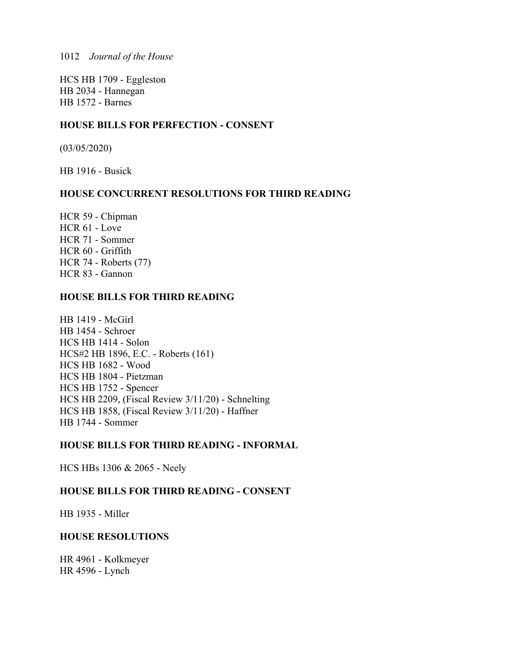HCS HB 1709 - Eggleston HB 2034 - Hannegan HB 1572 - Barnes

# **HOUSE BILLS FOR PERFECTION - CONSENT**

(03/05/2020)

HB 1916 - Busick

# **HOUSE CONCURRENT RESOLUTIONS FOR THIRD READING**

HCR 59 - Chipman HCR 61 - Love HCR 71 - Sommer HCR 60 - Griffith HCR 74 - Roberts (77) HCR 83 - Gannon

# **HOUSE BILLS FOR THIRD READING**

HB 1419 - McGirl HB 1454 - Schroer HCS HB 1414 - Solon HCS#2 HB 1896, E.C. - Roberts (161) HCS HB 1682 - Wood HCS HB 1804 - Pietzman HCS HB 1752 - Spencer HCS HB 2209, (Fiscal Review 3/11/20) - Schnelting HCS HB 1858, (Fiscal Review 3/11/20) - Haffner HB 1744 - Sommer

# **HOUSE BILLS FOR THIRD READING - INFORMAL**

HCS HBs 1306 & 2065 - Neely

# **HOUSE BILLS FOR THIRD READING - CONSENT**

HB 1935 - Miller

# **HOUSE RESOLUTIONS**

HR 4961 - Kolkmeyer HR 4596 - Lynch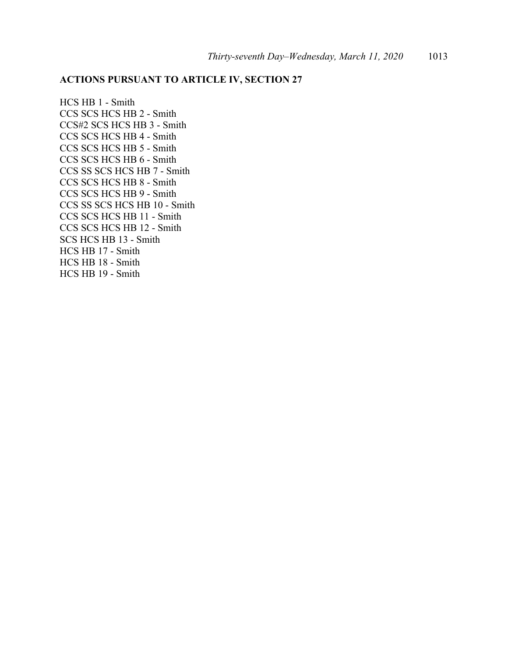# **ACTIONS PURSUANT TO ARTICLE IV, SECTION 27**

HCS HB 1 - Smith CCS SCS HCS HB 2 - Smith CCS#2 SCS HCS HB 3 - Smith CCS SCS HCS HB 4 - Smith CCS SCS HCS HB 5 - Smith CCS SCS HCS HB 6 - Smith CCS SS SCS HCS HB 7 - Smith CCS SCS HCS HB 8 - Smith CCS SCS HCS HB 9 - Smith CCS SS SCS HCS HB 10 - Smith CCS SCS HCS HB 11 - Smith CCS SCS HCS HB 12 - Smith SCS HCS HB 13 - Smith HCS HB 17 - Smith HCS HB 18 - Smith HCS HB 19 - Smith